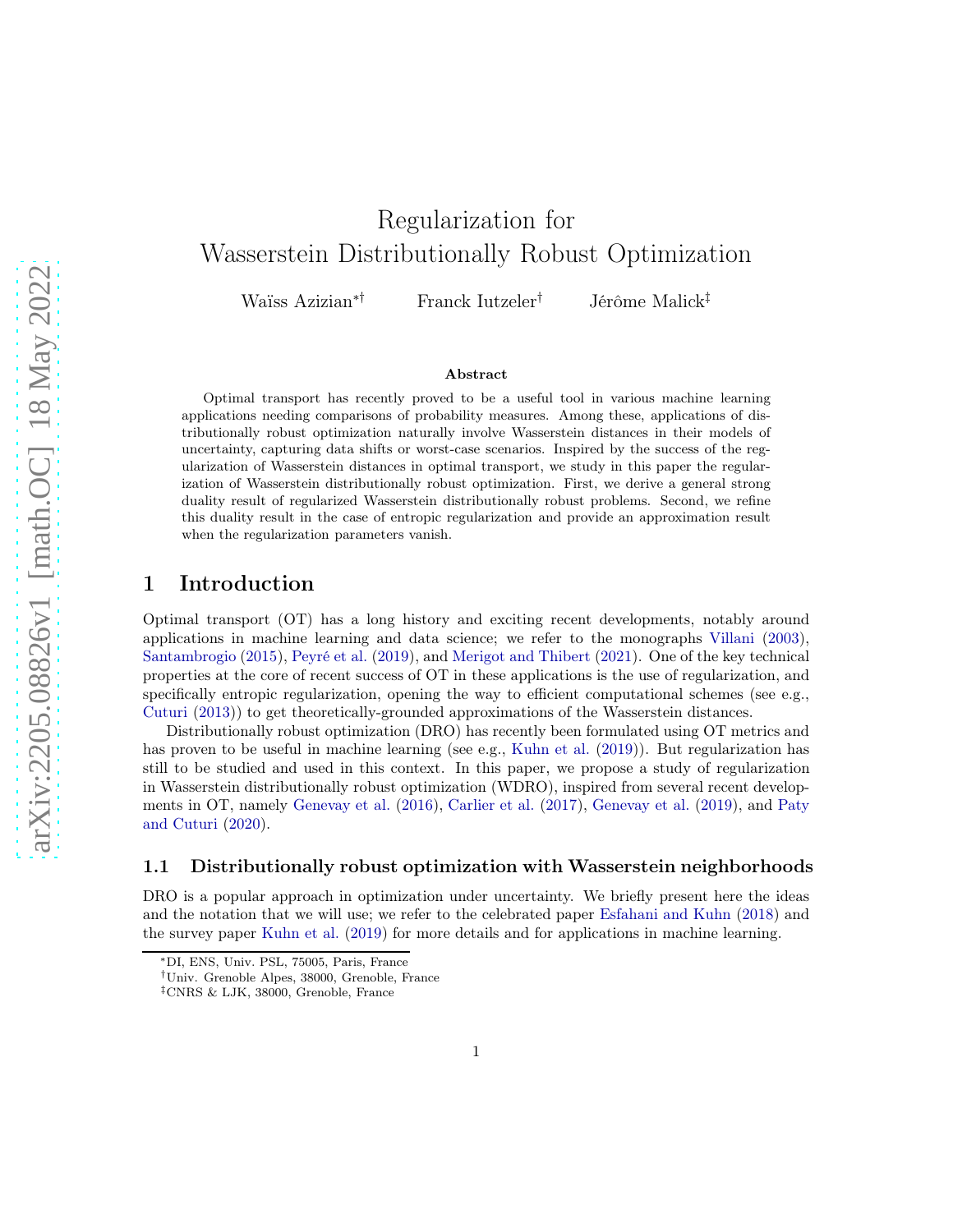# Regularization for Wasserstein Distributionally Robust Optimization

Waïss Azizian∗† Franck Iutzeler† Jérôme Malick‡

#### Abstract

Optimal transport has recently proved to be a useful tool in various machine learning applications needing comparisons of probability measures. Among these, applications of distributionally robust optimization naturally involve Wasserstein distances in their models of uncertainty, capturing data shifts or worst-case scenarios. Inspired by the success of the regularization of Wasserstein distances in optimal transport, we study in this paper the regularization of Wasserstein distributionally robust optimization. First, we derive a general strong duality result of regularized Wasserstein distributionally robust problems. Second, we refine this duality result in the case of entropic regularization and provide an approximation result when the regularization parameters vanish.

## 1 Introduction

Optimal transport (OT) has a long history and exciting recent developments, notably around applications in machine learning and data science; we refer to the monographs [Villani](#page-17-0) [\(2003\)](#page-17-0), [Santambrogio](#page-16-0) [\(2015](#page-16-0)), [Peyré et al.](#page-16-1) [\(2019\)](#page-16-1), and [Merigot and Thibert](#page-16-2) [\(2021](#page-16-2)). One of the key technical properties at the core of recent success of OT in these applications is the use of regularization, and specifically entropic regularization, opening the way to efficient computational schemes (see e.g., [Cuturi](#page-16-3) [\(2013\)](#page-16-3)) to get theoretically-grounded approximations of the Wasserstein distances.

Distributionally robust optimization (DRO) has recently been formulated using OT metrics and has proven to be useful in machine learning (see e.g., [Kuhn et al.](#page-16-4) [\(2019\)](#page-16-4)). But regularization has still to be studied and used in this context. In this paper, we propose a study of regularization in Wasserstein distributionally robust optimization (WDRO), inspired from several recent developments in OT, namely [Genevay et al.](#page-16-5) [\(2016](#page-16-5)), [Carlier et al.](#page-15-0) [\(2017\)](#page-15-0), [Genevay et al.](#page-16-6) [\(2019\)](#page-16-6), and Paty and Cuturi [\(2020](#page-16-7)).

#### 1.1 Distributionally robust optimization with Wasserstein neighborhoods

DRO is a popular approach in optimization under uncertainty. We briefly present here the ideas and the notation that we will use; we refer to the celebrated paper [Esfahani and Kuhn](#page-16-8) [\(2018](#page-16-8)) and the survey paper [Kuhn et al.](#page-16-4) [\(2019](#page-16-4)) for more details and for applications in machine learning.

<sup>∗</sup>DI, ENS, Univ. PSL, 75005, Paris, France

<sup>†</sup>Univ. Grenoble Alpes, 38000, Grenoble, France

<sup>‡</sup>CNRS & LJK, 38000, Grenoble, France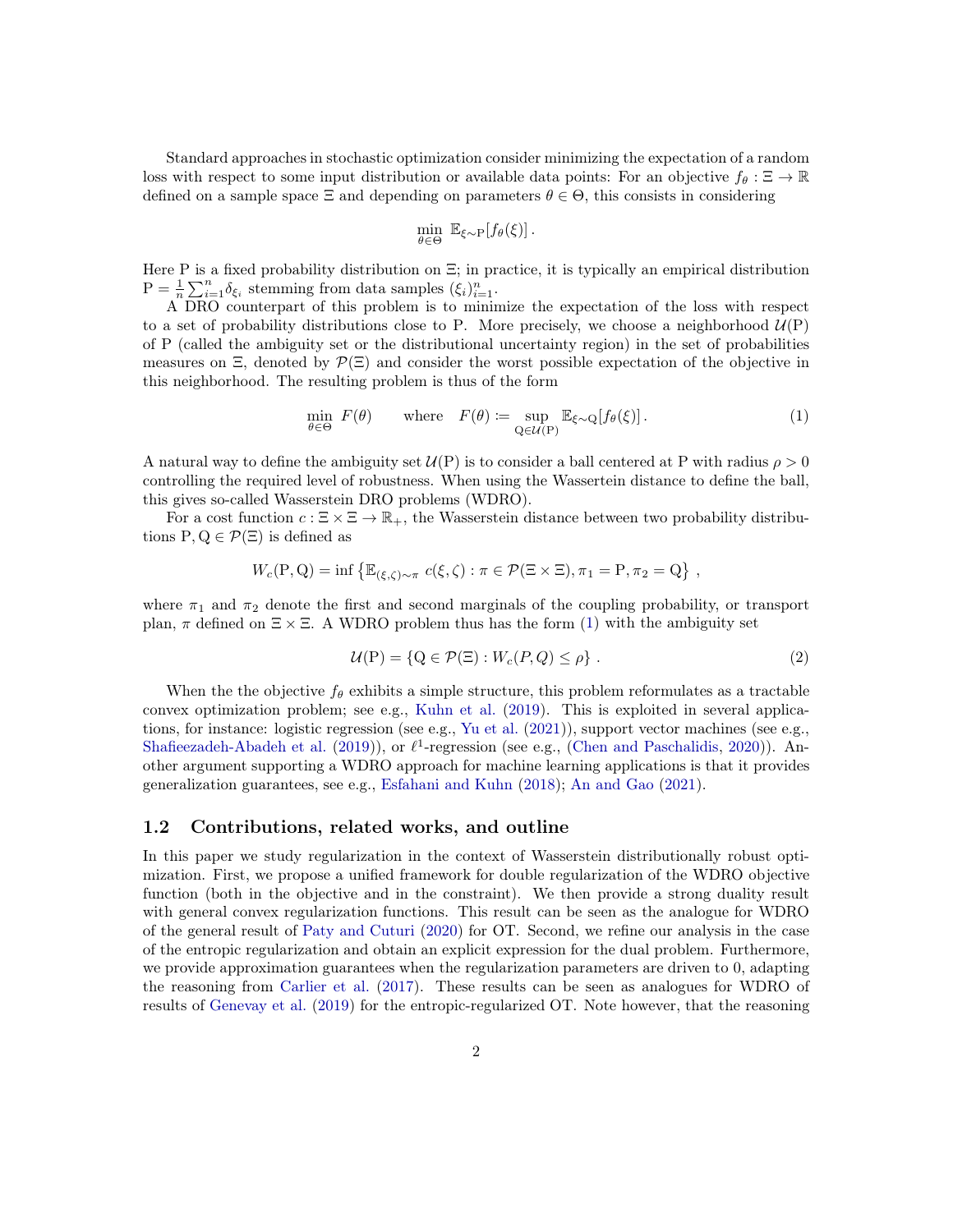Standard approaches in stochastic optimization consider minimizing the expectation of a random loss with respect to some input distribution or available data points: For an objective  $f_{\theta} : \Xi \to \mathbb{R}$ defined on a sample space  $\Xi$  and depending on parameters  $\theta \in \Theta$ , this consists in considering

$$
\min_{\theta \in \Theta} \ \mathbb{E}_{\xi \sim P}[f_{\theta}(\xi)].
$$

Here P is a fixed probability distribution on  $\Xi$ ; in practice, it is typically an empirical distribution  $P = \frac{1}{n} \sum_{i=1}^{n} \delta_{\xi_i}$  stemming from data samples  $(\xi_i)_{i=1}^n$ .

A DRO counterpart of this problem is to minimize the expectation of the loss with respect to a set of probability distributions close to P. More precisely, we choose a neighborhood  $\mathcal{U}(P)$ of P (called the ambiguity set or the distributional uncertainty region) in the set of probabilities measures on  $\Xi$ , denoted by  $\mathcal{P}(\Xi)$  and consider the worst possible expectation of the objective in this neighborhood. The resulting problem is thus of the form

<span id="page-1-0"></span>
$$
\min_{\theta \in \Theta} F(\theta) \qquad \text{where} \quad F(\theta) := \sup_{\mathbf{Q} \in \mathcal{U}(\mathbf{P})} \mathbb{E}_{\xi \sim \mathbf{Q}}[f_{\theta}(\xi)]. \tag{1}
$$

A natural way to define the ambiguity set  $\mathcal{U}(P)$  is to consider a ball centered at P with radius  $\rho > 0$ controlling the required level of robustness. When using the Wassertein distance to define the ball, this gives so-called Wasserstein DRO problems (WDRO).

For a cost function  $c : \Xi \times \Xi \to \mathbb{R}_+$ , the Wasserstein distance between two probability distributions  $P, Q \in \mathcal{P}(\Xi)$  is defined as

$$
W_c(\mathbf{P}, \mathbf{Q}) = \inf \{ \mathbb{E}_{(\xi, \zeta) \sim \pi} c(\xi, \zeta) : \pi \in \mathcal{P}(\Xi \times \Xi), \pi_1 = \mathbf{P}, \pi_2 = \mathbf{Q} \},
$$

where  $\pi_1$  and  $\pi_2$  denote the first and second marginals of the coupling probability, or transport plan,  $\pi$  defined on  $\Xi \times \Xi$ . A WDRO problem thus has the form [\(1\)](#page-1-0) with the ambiguity set

<span id="page-1-1"></span>
$$
\mathcal{U}(\mathcal{P}) = \{ \mathcal{Q} \in \mathcal{P}(\Xi) : W_c(P, Q) \le \rho \} . \tag{2}
$$

When the the objective  $f_{\theta}$  exhibits a simple structure, this problem reformulates as a tractable convex optimization problem; see e.g., [Kuhn et al.](#page-16-4) [\(2019](#page-16-4)). This is exploited in several applications, for instance: logistic regression (see e.g., [Yu et al.](#page-17-1) [\(2021](#page-17-1))), support vector machines (see e.g., [Shafieezadeh-Abadeh et al.](#page-16-9) [\(2019\)](#page-16-9)), or  $\ell^1$ -regression (see e.g., [\(Chen and Paschalidis,](#page-15-1) [2020](#page-15-1))). Another argument supporting a WDRO approach for machine learning applications is that it provides generalization guarantees, see e.g., [Esfahani and Kuhn](#page-16-8) [\(2018\)](#page-16-8); [An and Gao](#page-15-2) [\(2021](#page-15-2)).

#### 1.2 Contributions, related works, and outline

In this paper we study regularization in the context of Wasserstein distributionally robust optimization. First, we propose a unified framework for double regularization of the WDRO objective function (both in the objective and in the constraint). We then provide a strong duality result with general convex regularization functions. This result can be seen as the analogue for WDRO of the general result of [Paty and Cuturi](#page-16-7) [\(2020](#page-16-7)) for OT. Second, we refine our analysis in the case of the entropic regularization and obtain an explicit expression for the dual problem. Furthermore, we provide approximation guarantees when the regularization parameters are driven to 0, adapting the reasoning from [Carlier et al.](#page-15-0) [\(2017\)](#page-15-0). These results can be seen as analogues for WDRO of results of [Genevay et al.](#page-16-6) [\(2019](#page-16-6)) for the entropic-regularized OT. Note however, that the reasoning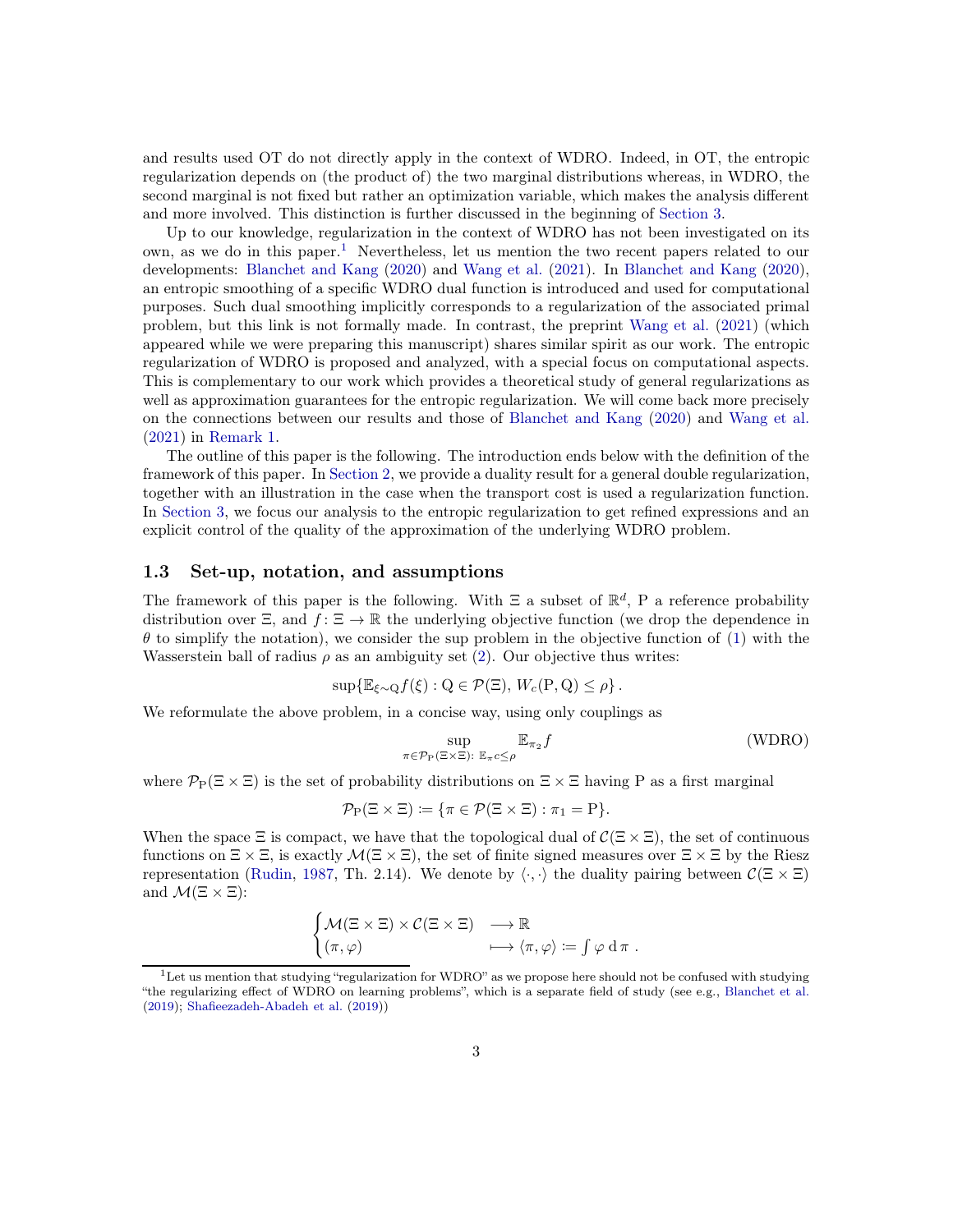and results used OT do not directly apply in the context of WDRO. Indeed, in OT, the entropic regularization depends on (the product of) the two marginal distributions whereas, in WDRO, the second marginal is not fixed but rather an optimization variable, which makes the analysis different and more involved. This distinction is further discussed in the beginning of [Section 3.](#page-6-0)

Up to our knowledge, regularization in the context of WDRO has not been investigated on its own, as we do in this paper.<sup>[1](#page-2-0)</sup> Nevertheless, let us mention the two recent papers related to our developments: [Blanchet and Kang](#page-15-3) [\(2020\)](#page-15-3) and [Wang et al.](#page-17-2) [\(2021](#page-17-2)). In [Blanchet and Kang](#page-15-3) [\(2020\)](#page-15-3), an entropic smoothing of a specific WDRO dual function is introduced and used for computational purposes. Such dual smoothing implicitly corresponds to a regularization of the associated primal problem, but this link is not formally made. In contrast, the preprint [Wang et al.](#page-17-2) [\(2021\)](#page-17-2) (which appeared while we were preparing this manuscript) shares similar spirit as our work. The entropic regularization of WDRO is proposed and analyzed, with a special focus on computational aspects. This is complementary to our work which provides a theoretical study of general regularizations as well as approximation guarantees for the entropic regularization. We will come back more precisely on the connections between our results and those of [Blanchet and Kang](#page-15-3) [\(2020\)](#page-15-3) and [Wang et al.](#page-17-2) [\(2021\)](#page-17-2) in [Remark 1.](#page-7-0)

The outline of this paper is the following. The introduction ends below with the definition of the framework of this paper. In [Section 2,](#page-3-0) we provide a duality result for a general double regularization, together with an illustration in the case when the transport cost is used a regularization function. In [Section 3,](#page-6-0) we focus our analysis to the entropic regularization to get refined expressions and an explicit control of the quality of the approximation of the underlying WDRO problem.

## 1.3 Set-up, notation, and assumptions

The framework of this paper is the following. With  $\Xi$  a subset of  $\mathbb{R}^d$ , P a reference probability distribution over  $\Xi$ , and  $f: \Xi \to \mathbb{R}$  the underlying objective function (we drop the dependence in  $\theta$  to simplify the notation), we consider the sup problem in the objective function of [\(1\)](#page-1-0) with the Wasserstein ball of radius  $\rho$  as an ambiguity set [\(2\)](#page-1-1). Our objective thus writes:

$$
\sup\{\mathbb{E}_{\xi\sim Q}f(\xi):Q\in\mathcal{P}(\Xi), W_c(P,Q)\leq\rho\}.
$$

We reformulate the above problem, in a concise way, using only couplings as

<span id="page-2-1"></span>
$$
\sup_{\pi \in \mathcal{P}_P(\Xi \times \Xi) : \ \mathbb{E}_{\pi \circ \leq \rho}} \mathbb{E}_{\pi_2} f \tag{WDRO}
$$

where  $\mathcal{P}_P(\Xi \times \Xi)$  is the set of probability distributions on  $\Xi \times \Xi$  having P as a first marginal

$$
\mathcal{P}_{P}(\Xi \times \Xi) \coloneqq \{ \pi \in \mathcal{P}(\Xi \times \Xi) : \pi_1 = P \}.
$$

When the space  $\Xi$  is compact, we have that the topological dual of  $\mathcal{C}(\Xi \times \Xi)$ , the set of continuous functions on  $\Xi \times \Xi$ , is exactly  $\mathcal{M}(\Xi \times \Xi)$ , the set of finite signed measures over  $\Xi \times \Xi$  by the Riesz representation [\(Rudin,](#page-16-10) [1987,](#page-16-10) Th. 2.14). We denote by  $\langle \cdot, \cdot \rangle$  the duality pairing between  $\mathcal{C}(\Xi \times \Xi)$ and  $\mathcal{M}(\Xi \times \Xi)$ :

$$
\begin{cases} \mathcal{M}(\Xi \times \Xi) \times \mathcal{C}(\Xi \times \Xi) & \longrightarrow \mathbb{R} \\ (\pi, \varphi) & \longmapsto \langle \pi, \varphi \rangle \coloneqq \int \varphi \, \mathrm{d} \pi \, . \end{cases}
$$

<span id="page-2-0"></span><sup>&</sup>lt;sup>1</sup>Let us mention that studying "regularization for WDRO" as we propose here should not be confused with studying "the regularizing effect of WDRO on learning problems", which is a separate field of study (see e.g., [Blanchet et al.](#page-15-4) [\(2019\)](#page-15-4); [Shafieezadeh-Abadeh et al.](#page-16-9) [\(2019](#page-16-9)))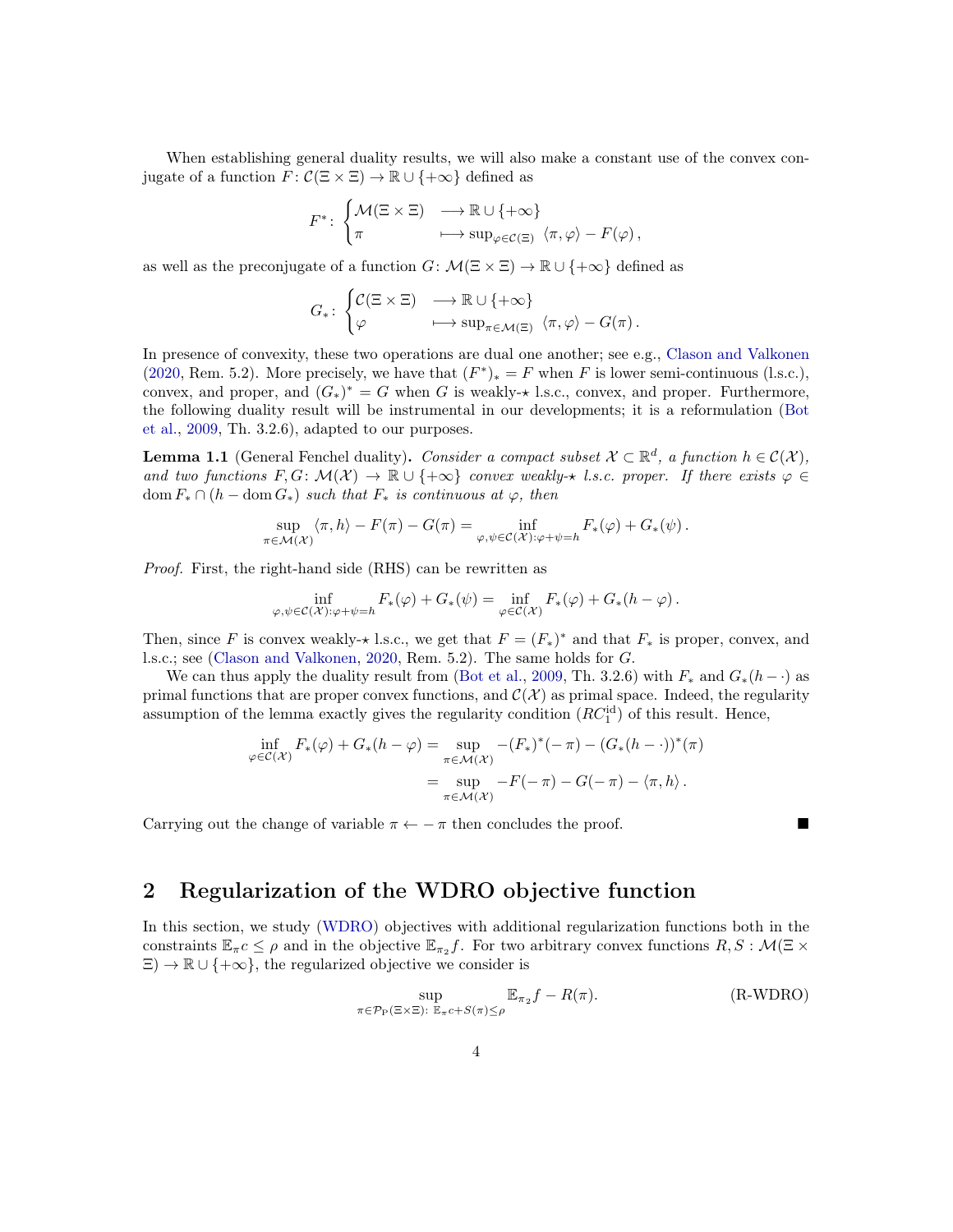When establishing general duality results, we will also make a constant use of the convex conjugate of a function  $F: \mathcal{C}(\Xi \times \Xi) \to \mathbb{R} \cup \{+\infty\}$  defined as

$$
F^* \colon \begin{cases} \mathcal{M}(\Xi \times \Xi) & \longrightarrow \mathbb{R} \cup \{+\infty\} \\ \pi & \longmapsto \sup_{\varphi \in \mathcal{C}(\Xi)} \langle \pi, \varphi \rangle - F(\varphi), \end{cases}
$$

as well as the preconjugate of a function  $G: \mathcal{M}(\Xi \times \Xi) \to \mathbb{R} \cup \{+\infty\}$  defined as

$$
G_*\colon \begin{cases} \mathcal{C}(\Xi\times\Xi) &\longrightarrow \mathbb{R}\cup\{+\infty\} \\ \varphi &\longmapsto \sup_{\pi\in\mathcal{M}(\Xi)}\ \langle \pi,\varphi\rangle-G(\pi)\,. \end{cases}
$$

In presence of convexity, these two operations are dual one another; see e.g., [Clason and Valkonen](#page-15-5) [\(2020,](#page-15-5) Rem. 5.2). More precisely, we have that  $(F^*)_* = F$  when F is lower semi-continuous (l.s.c.), convex, and proper, and  $(G_*)^* = G$  when G is weakly- $\star$  l.s.c., convex, and proper. Furthermore, the f[ollowing duality result will be instrumental in our developments; it is a reformulation \(](#page-15-6)Bot et al., [2009](#page-15-6), Th. 3.2.6), adapted to our purposes.

<span id="page-3-2"></span>**Lemma 1.1** (General Fenchel duality). Consider a compact subset  $X \subset \mathbb{R}^d$ , a function  $h \in \mathcal{C}(\mathcal{X})$ , and two functions  $F, G: \mathcal{M}(\mathcal{X}) \to \mathbb{R} \cup \{+\infty\}$  convex weakly- $\star$  l.s.c. proper. If there exists  $\varphi \in$ dom  $F_* \cap (h - \text{dom } G_*)$  such that  $F_*$  is continuous at  $\varphi$ , then

$$
\sup_{\pi \in \mathcal{M}(\mathcal{X})} \langle \pi, h \rangle - F(\pi) - G(\pi) = \inf_{\varphi, \psi \in \mathcal{C}(\mathcal{X}): \varphi + \psi = h} F_*(\varphi) + G_*(\psi).
$$

Proof. First, the right-hand side (RHS) can be rewritten as

$$
\inf_{\varphi,\psi\in\mathcal{C}(\mathcal{X}):\varphi+\psi=h}F_*(\varphi)+G_*(\psi)=\inf_{\varphi\in\mathcal{C}(\mathcal{X})}F_*(\varphi)+G_*(h-\varphi).
$$

Then, since F is convex weakly- $\star$  l.s.c., we get that  $F = (F_*)^*$  and that  $F_*$  is proper, convex, and l.s.c.; see [\(Clason and Valkonen](#page-15-5), [2020](#page-15-5), Rem. 5.2). The same holds for G.

We can thus apply the duality result from [\(Bot et al.,](#page-15-6) [2009,](#page-15-6) Th. 3.2.6) with  $F_*$  and  $G_*(h - \cdot)$  as primal functions that are proper convex functions, and  $\mathcal{C}(\mathcal{X})$  as primal space. Indeed, the regularity assumption of the lemma exactly gives the regularity condition  $(RC_1<sup>id</sup>)$  of this result. Hence,

$$
\inf_{\varphi \in \mathcal{C}(\mathcal{X})} F_*(\varphi) + G_*(h - \varphi) = \sup_{\pi \in \mathcal{M}(\mathcal{X})} -(F_*)^*(-\pi) - (G_*(h - \cdot))^*(\pi)
$$

$$
= \sup_{\pi \in \mathcal{M}(\mathcal{X})} -F(-\pi) - G(-\pi) - \langle \pi, h \rangle.
$$

Carrying out the change of variable  $\pi \leftarrow -\pi$  then concludes the proof.

# <span id="page-3-0"></span>2 Regularization of the WDRO objective function

In this section, we study [\(WDRO\)](#page-2-1) objectives with additional regularization functions both in the constraints  $\mathbb{E}_{\pi}c \leq \rho$  and in the objective  $\mathbb{E}_{\pi_2}f$ . For two arbitrary convex functions  $R, S : \mathcal{M}(\Xi) \times$  $\Xi$ )  $\to \mathbb{R} \cup \{+\infty\}$ , the regularized objective we consider is

<span id="page-3-1"></span>
$$
\sup_{\pi \in \mathcal{P}_P(\Xi \times \Xi) : E_{\pi c} + S(\pi) \le \rho} \mathbb{E}_{\pi_2} f - R(\pi).
$$
 (R-WDRO)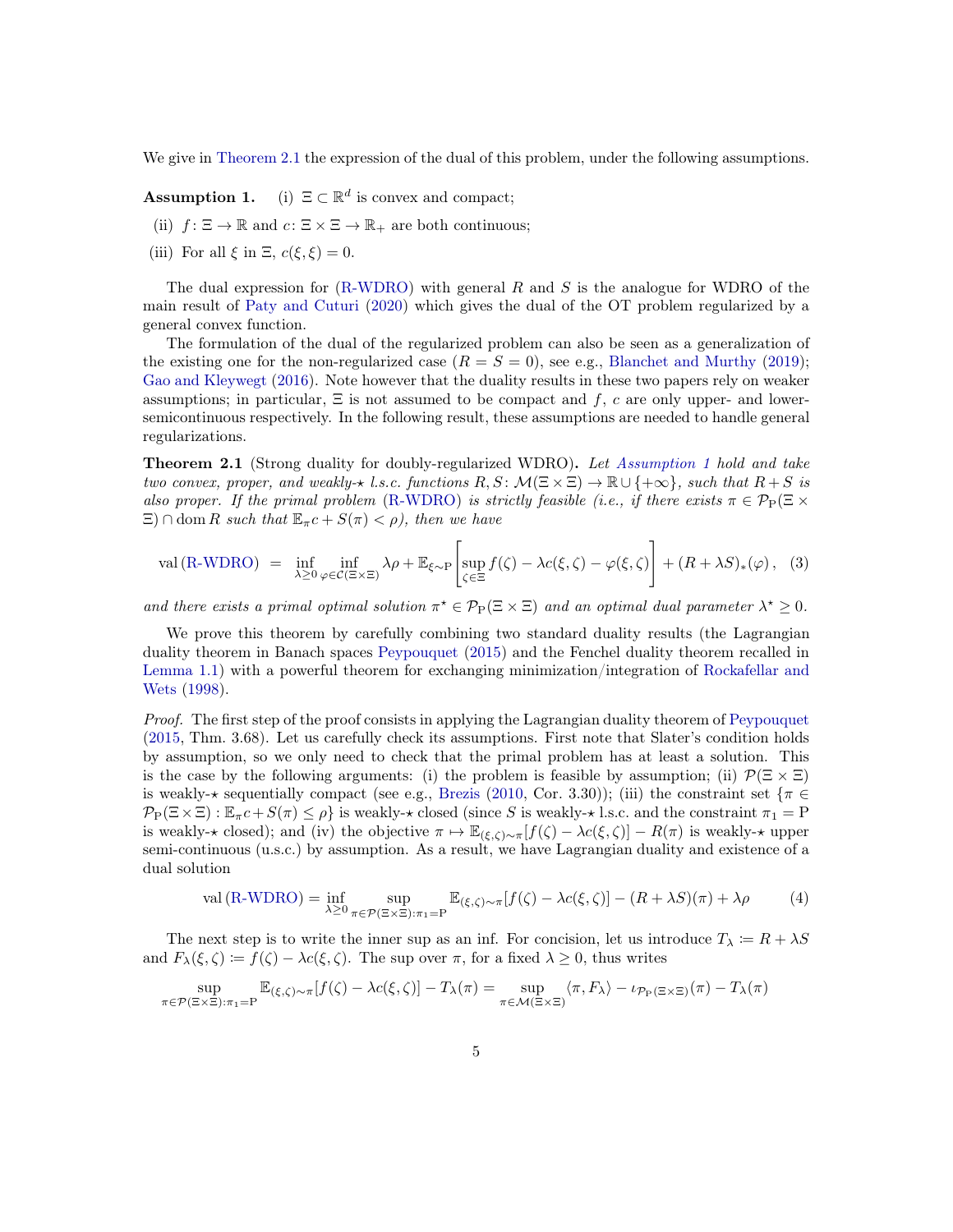<span id="page-4-1"></span>We give in [Theorem 2.1](#page-4-0) the expression of the dual of this problem, under the following assumptions.

Assumption 1.  $d$  is convex and compact;

- (ii)  $f: \Xi \to \mathbb{R}$  and  $c: \Xi \times \Xi \to \mathbb{R}_+$  are both continuous;
- (iii) For all  $\xi$  in  $\Xi$ ,  $c(\xi, \xi) = 0$ .

The dual expression for  $(R-WDRO)$  with general R and S is the analogue for WDRO of the main result of [Paty and Cuturi](#page-16-7) [\(2020\)](#page-16-7) which gives the dual of the OT problem regularized by a general convex function.

The formulation of the dual of the regularized problem can also be seen as a generalization of the existing one for the non-regularized case  $(R = S = 0)$ , see e.g., [Blanchet and Murthy](#page-15-7) [\(2019\)](#page-15-7); [Gao and Kleywegt](#page-16-11) [\(2016](#page-16-11)). Note however that the duality results in these two papers rely on weaker assumptions; in particular,  $\Xi$  is not assumed to be compact and f, c are only upper- and lowersemicontinuous respectively. In the following result, these assumptions are needed to handle general regularizations.

<span id="page-4-0"></span>**Theorem 2.1** (Strong duality for doubly-regularized WDRO). Let [Assumption 1](#page-4-1) hold and take two convex, proper, and weakly- $\star$  l.s.c. functions  $R, S : \mathcal{M}(\Xi \times \Xi) \to \mathbb{R} \cup \{+\infty\}$ , such that  $R + S$  is also proper. If the primal problem [\(R-WDRO\)](#page-3-1) is strictly feasible (i.e., if there exists  $\pi \in \mathcal{P}_P(\Xi \times$  $\Xi$ )  $\cap$  dom R such that  $\mathbb{E}_{\pi} c + S(\pi) < \rho$ ), then we have

<span id="page-4-3"></span>
$$
\text{val}(\text{R-WDRO}) = \inf_{\lambda \ge 0} \inf_{\varphi \in \mathcal{C}(\Xi \times \Xi)} \lambda \rho + \mathbb{E}_{\xi \sim \text{P}} \left[ \sup_{\zeta \in \Xi} f(\zeta) - \lambda c(\xi, \zeta) - \varphi(\xi, \zeta) \right] + (R + \lambda S)_*(\varphi), \quad (3)
$$

and there exists a primal optimal solution  $\pi^* \in \mathcal{P}_P(\Xi \times \Xi)$  and an optimal dual parameter  $\lambda^* \geq 0$ .

We prove this theorem by carefully combining two standard duality results (the Lagrangian duality theorem in Banach spaces [Peypouquet](#page-16-12) [\(2015](#page-16-12)) and the Fenchel duality theorem recalled in [Lemma 1.1\)](#page-3-2) [with a powerful theorem for exchanging minimization/integration of](#page-16-13) Rockafellar and Wets [\(1998\)](#page-16-13).

Proof. The first step of the proof consists in applying the Lagrangian duality theorem of [Peypouquet](#page-16-12) [\(2015,](#page-16-12) Thm. 3.68). Let us carefully check its assumptions. First note that Slater's condition holds by assumption, so we only need to check that the primal problem has at least a solution. This is the case by the following arguments: (i) the problem is feasible by assumption; (ii)  $\mathcal{P}(\Xi \times \Xi)$ is weakly- $\star$  sequentially compact (see e.g., [Brezis](#page-15-8) [\(2010](#page-15-8), Cor. 3.30)); (iii) the constraint set { $\pi \in$  $\mathcal{P}_P(\Xi\times\Xi): \mathbb{E}_{\pi}c + S(\pi) \leq \rho$  is weakly- $\star$  closed (since S is weakly- $\star$  l.s.c. and the constraint  $\pi_1 = P$ is weakly- $\star$  closed); and (iv) the objective  $\pi \mapsto \mathbb{E}_{(\xi,\zeta)\sim\pi}[f(\zeta)-\lambda c(\xi,\zeta)] - R(\pi)$  is weakly- $\star$  upper semi-continuous (u.s.c.) by assumption. As a result, we have Lagrangian duality and existence of a dual solution

<span id="page-4-2"></span>
$$
\text{val}(\text{R-WDRO}) = \inf_{\lambda \ge 0} \sup_{\pi \in \mathcal{P}(\Xi \times \Xi): \pi_1 = \text{P}} \mathbb{E}_{(\xi, \zeta) \sim \pi} [f(\zeta) - \lambda c(\xi, \zeta)] - (R + \lambda S)(\pi) + \lambda \rho \tag{4}
$$

The next step is to write the inner sup as an inf. For concision, let us introduce  $T_{\lambda} := R + \lambda S$ and  $F_{\lambda}(\xi, \zeta) := f(\zeta) - \lambda c(\xi, \zeta)$ . The sup over  $\pi$ , for a fixed  $\lambda \geq 0$ , thus writes

$$
\sup_{\pi \in \mathcal{P}(\Xi \times \Xi): \pi_1 = \mathcal{P}} \mathbb{E}_{(\xi, \zeta) \sim \pi} [f(\zeta) - \lambda c(\xi, \zeta)] - T_{\lambda}(\pi) = \sup_{\pi \in \mathcal{M}(\Xi \times \Xi)} \langle \pi, F_{\lambda} \rangle - \iota_{\mathcal{P}_{\mathcal{P}}(\Xi \times \Xi)}(\pi) - T_{\lambda}(\pi)
$$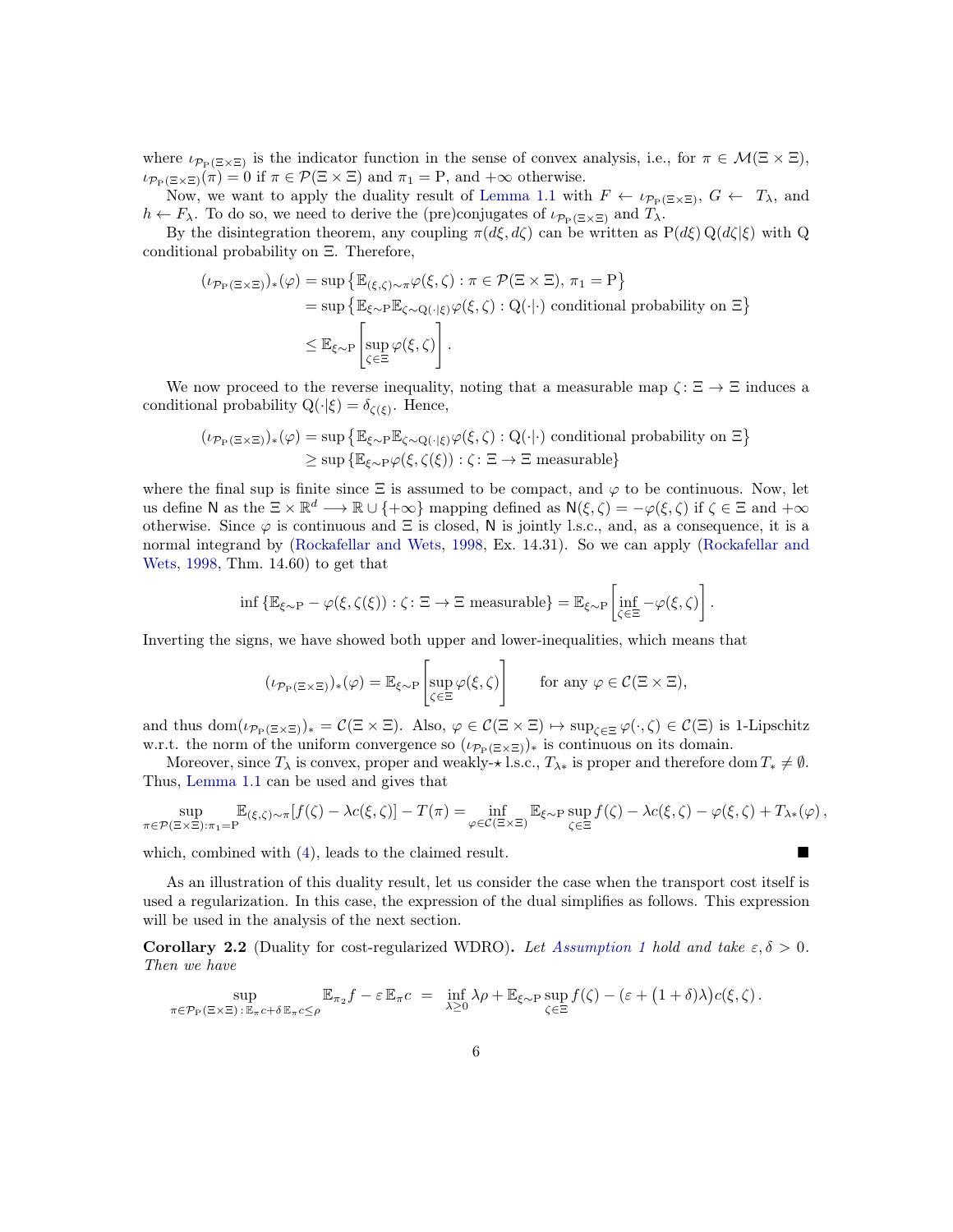where  $\iota_{\mathcal{P}_P(\Xi\times\Xi)}$  is the indicator function in the sense of convex analysis, i.e., for  $\pi \in \mathcal{M}(\Xi\times\Xi)$ ,  $\iota_{\mathcal{P}_{\mathcal{P}}(\Xi\times\Xi)}(\pi)=0$  if  $\pi\in\mathcal{P}(\Xi\times\Xi)$  and  $\pi_1=\mathrm{P}$ , and  $+\infty$  otherwise.

Now, we want to apply the duality result of [Lemma 1.1](#page-3-2) with  $F \leftarrow \iota_{\mathcal{P}_P(\Xi \times \Xi)}$ ,  $G \leftarrow T_\lambda$ , and  $h \leftarrow F_{\lambda}$ . To do so, we need to derive the (pre)conjugates of  $\iota_{\mathcal{P}_{\mathcal{P}}(\Xi \times \Xi)}$  and  $T_{\lambda}$ .

By the disintegration theorem, any coupling  $\pi(d\xi, d\zeta)$  can be written as  $P(d\xi) Q(d\zeta|\xi)$  with Q conditional probability on Ξ. Therefore,

$$
(\iota_{\mathcal{P}_{P}(\Xi\times\Xi)})_{*}(\varphi)=\sup\left\{\mathbb{E}_{(\xi,\zeta)\sim\pi}\varphi(\xi,\zeta):\pi\in\mathcal{P}(\Xi\times\Xi),\,\pi_{1}=P\right\}\\=\sup\left\{\mathbb{E}_{\xi\sim P}\mathbb{E}_{\zeta\sim Q(\cdot|\xi)}\varphi(\xi,\zeta):Q(\cdot|\cdot)\text{ conditional probability on }\Xi\right\}\\ \leq\mathbb{E}_{\xi\sim P}\left[\sup_{\zeta\in\Xi}\varphi(\xi,\zeta)\right].
$$

We now proceed to the reverse inequality, noting that a measurable map  $\zeta : \Xi \to \Xi$  induces a conditional probability  $Q(\cdot|\xi) = \delta_{\zeta(\xi)}$ . Hence,

$$
(\iota_{\mathcal{P}_{\mathrm{P}}(\Xi\times\Xi)})_*(\varphi)=\sup\left\{\mathbb{E}_{\xi\sim\mathrm{P}}\mathbb{E}_{\zeta\sim\mathrm{Q}(\cdot|\xi)}\varphi(\xi,\zeta): \mathrm{Q}(\cdot|\cdot) \text{ conditional probability on }\Xi\right\}\\ \geq \sup\left\{\mathbb{E}_{\xi\sim\mathrm{P}}\varphi(\xi,\zeta(\xi)):\zeta:\Xi\to\Xi \text{ measurable}\right\}
$$

where the final sup is finite since  $\Xi$  is assumed to be compact, and  $\varphi$  to be continuous. Now, let us define N as the  $\Xi \times \mathbb{R}^d \longrightarrow \mathbb{R} \cup \{+\infty\}$  mapping defined as  $N(\xi, \zeta) = -\varphi(\xi, \zeta)$  if  $\zeta \in \Xi$  and  $+\infty$ otherwise. Since  $\varphi$  is continuous and  $\Xi$  is closed, N is jointly l.s.c., and, as a consequence, it is a nor[mal integrand by \(Rockafellar and Wets,](#page-16-13) [1998](#page-16-13), Ex. 14.31). So we can apply (Rockafellar and Wets, [1998,](#page-16-13) Thm. 14.60) to get that

$$
\inf \left\{ \mathbb{E}_{\xi \sim P} - \varphi(\xi, \zeta(\xi)) : \zeta \colon \Xi \to \Xi \text{ measurable} \right\} = \mathbb{E}_{\xi \sim P} \left[ \inf_{\zeta \in \Xi} - \varphi(\xi, \zeta) \right].
$$

Inverting the signs, we have showed both upper and lower-inequalities, which means that

$$
(\iota_{\mathcal{P}_{P}(\Xi\times \Xi)})_{*}(\varphi) = \mathbb{E}_{\xi \sim P}\left[\sup_{\zeta \in \Xi} \varphi(\xi, \zeta)\right] \quad \text{for any } \varphi \in \mathcal{C}(\Xi \times \Xi),
$$

and thus  $dom(\iota_{\mathcal{P}_P(\Xi\times\Xi)})_* = \mathcal{C}(\Xi\times\Xi)$ . Also,  $\varphi \in \mathcal{C}(\Xi\times\Xi) \mapsto sup_{\zeta \in \Xi} \varphi(\cdot,\zeta) \in \mathcal{C}(\Xi)$  is 1-Lipschitz w.r.t. the norm of the uniform convergence so  $(\iota_{\mathcal{P}_P(\Xi\times \Xi)})_*$  is continuous on its domain.

Moreover, since  $T_{\lambda}$  is convex, proper and weakly- $\star$  l.s.c.,  $T_{\lambda} *$  is proper and therefore dom  $T_* \neq \emptyset$ . Thus, [Lemma 1.1](#page-3-2) can be used and gives that

$$
\sup_{\pi \in \mathcal{P}(\Xi \times \Xi): \pi_1 = \mathcal{P}} \mathbb{E}_{(\xi,\zeta) \sim \pi} [f(\zeta) - \lambda c(\xi,\zeta)] - T(\pi) = \inf_{\varphi \in \mathcal{C}(\Xi \times \Xi)} \mathbb{E}_{\xi \sim \mathcal{P}} \sup_{\zeta \in \Xi} f(\zeta) - \lambda c(\xi,\zeta) - \varphi(\xi,\zeta) + T_{\lambda *}(\varphi),
$$

which, combined with  $(4)$ , leads to the claimed result.

As an illustration of this duality result, let us consider the case when the transport cost itself is used a regularization. In this case, the expression of the dual simplifies as follows. This expression will be used in the analysis of the next section.

<span id="page-5-0"></span>Corollary 2.2 (Duality for cost-regularized WDRO). Let [Assumption 1](#page-4-1) hold and take  $\varepsilon, \delta > 0$ . Then we have

$$
\sup_{\pi \in \mathcal{P}_P(\Xi \times \Xi) \,:\, \mathbb{E}_{\pi c+\delta} \mathbb{E}_{\pi c \leq \rho}} \mathbb{E}_{\pi_2} f - \varepsilon \mathbb{E}_{\pi c} = \inf_{\lambda \geq 0} \lambda \rho + \mathbb{E}_{\xi \sim P} \sup_{\zeta \in \Xi} f(\zeta) - (\varepsilon + (1+\delta)\lambda)c(\xi, \zeta).
$$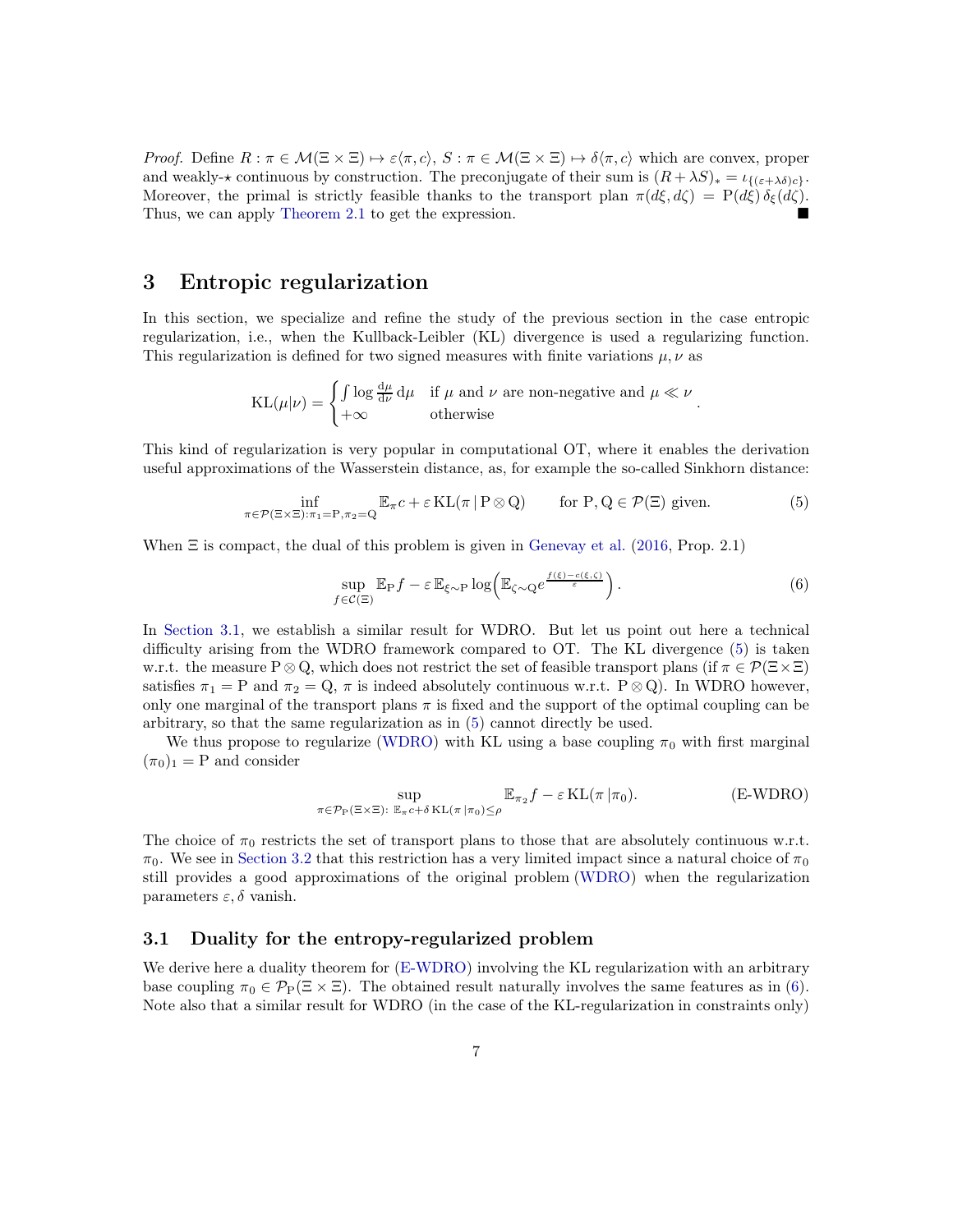*Proof.* Define  $R : \pi \in \mathcal{M}(\Xi \times \Xi) \mapsto \varepsilon \langle \pi, c \rangle$ ,  $S : \pi \in \mathcal{M}(\Xi \times \Xi) \mapsto \delta \langle \pi, c \rangle$  which are convex, proper and weakly-★ continuous by construction. The preconjugate of their sum is  $(R + \lambda S)_* = \iota_{\{(\varepsilon + \lambda \delta)_C\}}$ . Moreover, the primal is strictly feasible thanks to the transport plan  $\pi(d\xi, d\zeta) = P(d\xi) \delta_{\xi}(d\zeta)$ . Thus, we can apply [Theorem 2.1](#page-4-0) to get the expression.

# <span id="page-6-0"></span>3 Entropic regularization

In this section, we specialize and refine the study of the previous section in the case entropic regularization, i.e., when the Kullback-Leibler (KL) divergence is used a regularizing function. This regularization is defined for two signed measures with finite variations  $\mu, \nu$  as

$$
KL(\mu|\nu) = \begin{cases} \int \log \frac{d\mu}{d\nu} d\mu & \text{if } \mu \text{ and } \nu \text{ are non-negative and } \mu \ll \nu \\ +\infty & \text{otherwise} \end{cases}.
$$

This kind of regularization is very popular in computational OT, where it enables the derivation useful approximations of the Wasserstein distance, as, for example the so-called Sinkhorn distance:

<span id="page-6-2"></span>
$$
\inf_{\pi \in \mathcal{P}(\Xi \times \Xi): \pi_1 = \mathcal{P}, \pi_2 = \mathcal{Q}} \mathbb{E}_{\pi} c + \varepsilon \operatorname{KL}(\pi \mid \mathcal{P} \otimes \mathcal{Q}) \qquad \text{for } \mathcal{P}, \mathcal{Q} \in \mathcal{P}(\Xi) \text{ given.}
$$
\n(5)

When  $\Xi$  is compact, the dual of this problem is given in [Genevay et al.](#page-16-5) [\(2016](#page-16-5), Prop. 2.1)

<span id="page-6-4"></span>
$$
\sup_{f \in \mathcal{C}(\Xi)} \mathbb{E}_{P} f - \varepsilon \mathbb{E}_{\xi \sim P} \log \left( \mathbb{E}_{\zeta \sim Q} e^{\frac{f(\xi) - c(\xi, \zeta)}{\varepsilon}} \right). \tag{6}
$$

In [Section 3.1,](#page-6-1) we establish a similar result for WDRO. But let us point out here a technical difficulty arising from the WDRO framework compared to OT. The KL divergence [\(5\)](#page-6-2) is taken w.r.t. the measure  $P \otimes Q$ , which does not restrict the set of feasible transport plans (if  $\pi \in \mathcal{P}(\Xi \times \Xi)$ ) satisfies  $\pi_1 = P$  and  $\pi_2 = Q$ ,  $\pi$  is indeed absolutely continuous w.r.t.  $P \otimes Q$ ). In WDRO however, only one marginal of the transport plans  $\pi$  is fixed and the support of the optimal coupling can be arbitrary, so that the same regularization as in [\(5\)](#page-6-2) cannot directly be used.

We thus propose to regularize [\(WDRO\)](#page-2-1) with KL using a base coupling  $\pi_0$  with first marginal  $(\pi_0)_1 = P$  and consider

<span id="page-6-3"></span>
$$
\sup_{\pi \in \mathcal{P}_{P}(\Xi \times \Xi) : E_{\pi}c + \delta KL(\pi | \pi_{0}) \leq \rho} E_{\pi_{2}}f - \varepsilon KL(\pi | \pi_{0}).
$$
 (E-WDRO)

The choice of  $\pi_0$  restricts the set of transport plans to those that are absolutely continuous w.r.t.  $\pi_0$ . We see in [Section 3.2](#page-9-0) that this restriction has a very limited impact since a natural choice of  $\pi_0$ still provides a good approximations of the original problem [\(WDRO\)](#page-2-1) when the regularization parameters  $\varepsilon$ ,  $\delta$  vanish.

### <span id="page-6-1"></span>3.1 Duality for the entropy-regularized problem

We derive here a duality theorem for [\(E-WDRO\)](#page-6-3) involving the KL regularization with an arbitrary base coupling  $\pi_0 \in \mathcal{P}_P(\Xi \times \Xi)$ . The obtained result naturally involves the same features as in [\(6\)](#page-6-4). Note also that a similar result for WDRO (in the case of the KL-regularization in constraints only)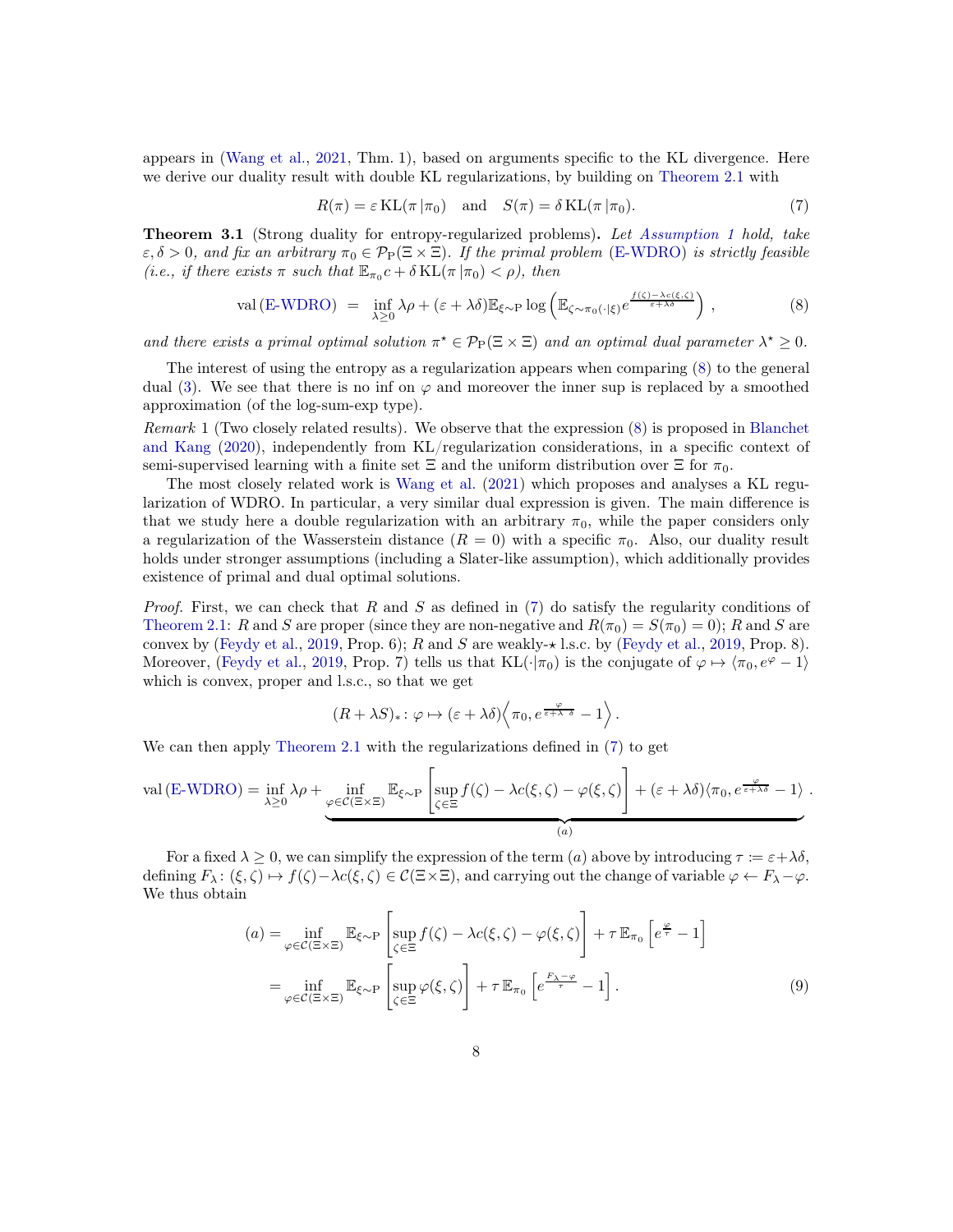appears in [\(Wang et al.](#page-17-2), [2021](#page-17-2), Thm. 1), based on arguments specific to the KL divergence. Here we derive our duality result with double KL regularizations, by building on [Theorem 2.1](#page-4-0) with

<span id="page-7-2"></span><span id="page-7-1"></span>
$$
R(\pi) = \varepsilon \operatorname{KL}(\pi | \pi_0) \quad \text{and} \quad S(\pi) = \delta \operatorname{KL}(\pi | \pi_0). \tag{7}
$$

<span id="page-7-4"></span>Theorem 3.1 (Strong duality for entropy-regularized problems). Let [Assumption 1](#page-4-1) hold, take  $\varepsilon, \delta > 0$ , and fix an arbitrary  $\pi_0 \in \mathcal{P}_P(\Xi \times \Xi)$ . If the primal problem [\(E-WDRO\)](#page-6-3) is strictly feasible (i.e., if there exists  $\pi$  such that  $\mathbb{E}_{\pi_0} c + \delta \mathrm{KL}(\pi | \pi_0) < \rho$ ), then

$$
\text{val} \left( \text{E-WDRO} \right) \ = \ \inf_{\lambda \geq 0} \lambda \rho + (\varepsilon + \lambda \delta) \mathbb{E}_{\xi \sim \text{P}} \log \left( \mathbb{E}_{\zeta \sim \pi_0(\cdot|\xi)} e^{\frac{f(\zeta) - \lambda c(\xi, \zeta)}{\varepsilon + \lambda \delta}} \right) \,, \tag{8}
$$

and there exists a primal optimal solution  $\pi^* \in \mathcal{P}_P(\Xi \times \Xi)$  and an optimal dual parameter  $\lambda^* \geq 0$ .

The interest of using the entropy as a regularization appears when comparing [\(8\)](#page-7-1) to the general dual [\(3\)](#page-4-3). We see that there is no inf on  $\varphi$  and moreover the inner sup is replaced by a smoothed approximation (of the log-sum-exp type).

<span id="page-7-0"></span>Remark 1 (Two closely related results). [We observe that the expression](#page-15-3) [\(8\)](#page-7-1) [is proposed in](#page-15-3) Blanchet and Kang [\(2020](#page-15-3)), independently from KL/regularization considerations, in a specific context of semi-supervised learning with a finite set  $\Xi$  and the uniform distribution over  $\Xi$  for  $\pi_0$ .

The most closely related work is [Wang et al.](#page-17-2) [\(2021\)](#page-17-2) which proposes and analyses a KL regularization of WDRO. In particular, a very similar dual expression is given. The main difference is that we study here a double regularization with an arbitrary  $\pi_0$ , while the paper considers only a regularization of the Wasserstein distance  $(R = 0)$  with a specific  $\pi_0$ . Also, our duality result holds under stronger assumptions (including a Slater-like assumption), which additionally provides existence of primal and dual optimal solutions.

*Proof.* First, we can check that R and S as defined in [\(7\)](#page-7-2) do satisfy the regularity conditions of [Theorem 2.1:](#page-4-0) R and S are proper (since they are non-negative and  $R(\pi_0) = S(\pi_0) = 0$ ); R and S are convex by [\(Feydy et al.,](#page-16-14) [2019,](#page-16-14) Prop. 6); R and S are weakly- $\star$  l.s.c. by (Feydy et al., [2019](#page-16-14), Prop. 8). Moreover, [\(Feydy et al.](#page-16-14), [2019,](#page-16-14) Prop. 7) tells us that KL( $\cdot|\pi_0$ ) is the conjugate of  $\varphi \mapsto \langle \pi_0, e^{\varphi} - 1 \rangle$ which is convex, proper and l.s.c., so that we get

<span id="page-7-3"></span>
$$
(R+\lambda S)_* \colon \varphi \mapsto (\varepsilon+\lambda \delta) \Big\langle \pi_0, e^{\frac{\varphi}{\varepsilon+\lambda \delta}} - 1 \Big\rangle.
$$

We can then apply [Theorem 2.1](#page-4-0) with the regularizations defined in [\(7\)](#page-7-2) to get

$$
\text{val}(\text{E-WDRO}) = \inf_{\lambda \ge 0} \lambda \rho + \inf_{\varphi \in \mathcal{C}(\Xi \times \Xi)} \mathbb{E}_{\xi \sim \text{P}} \left[ \sup_{\zeta \in \Xi} f(\zeta) - \lambda c(\xi, \zeta) - \varphi(\xi, \zeta) \right] + (\varepsilon + \lambda \delta) \langle \pi_0, e^{\frac{\varphi}{\varepsilon + \lambda \delta}} - 1 \rangle.
$$

For a fixed  $\lambda > 0$ , we can simplify the expression of the term (a) above by introducing  $\tau = \varepsilon + \lambda \delta$ . defining  $F_\lambda: (\xi, \zeta) \mapsto f(\zeta)-\lambda c(\xi, \zeta) \in \mathcal{C}(\Xi \times \Xi)$ , and carrying out the change of variable  $\varphi \leftarrow F_\lambda - \varphi$ . We thus obtain

$$
(a) = \inf_{\varphi \in \mathcal{C}(\Xi \times \Xi)} \mathbb{E}_{\xi \sim \mathcal{P}} \left[ \sup_{\zeta \in \Xi} f(\zeta) - \lambda c(\xi, \zeta) - \varphi(\xi, \zeta) \right] + \tau \mathbb{E}_{\pi_0} \left[ e^{\frac{\varphi}{\tau}} - 1 \right]
$$
  
= 
$$
\inf_{\varphi \in \mathcal{C}(\Xi \times \Xi)} \mathbb{E}_{\xi \sim \mathcal{P}} \left[ \sup_{\zeta \in \Xi} \varphi(\xi, \zeta) \right] + \tau \mathbb{E}_{\pi_0} \left[ e^{\frac{F_{\lambda} - \varphi}{\tau}} - 1 \right].
$$
 (9)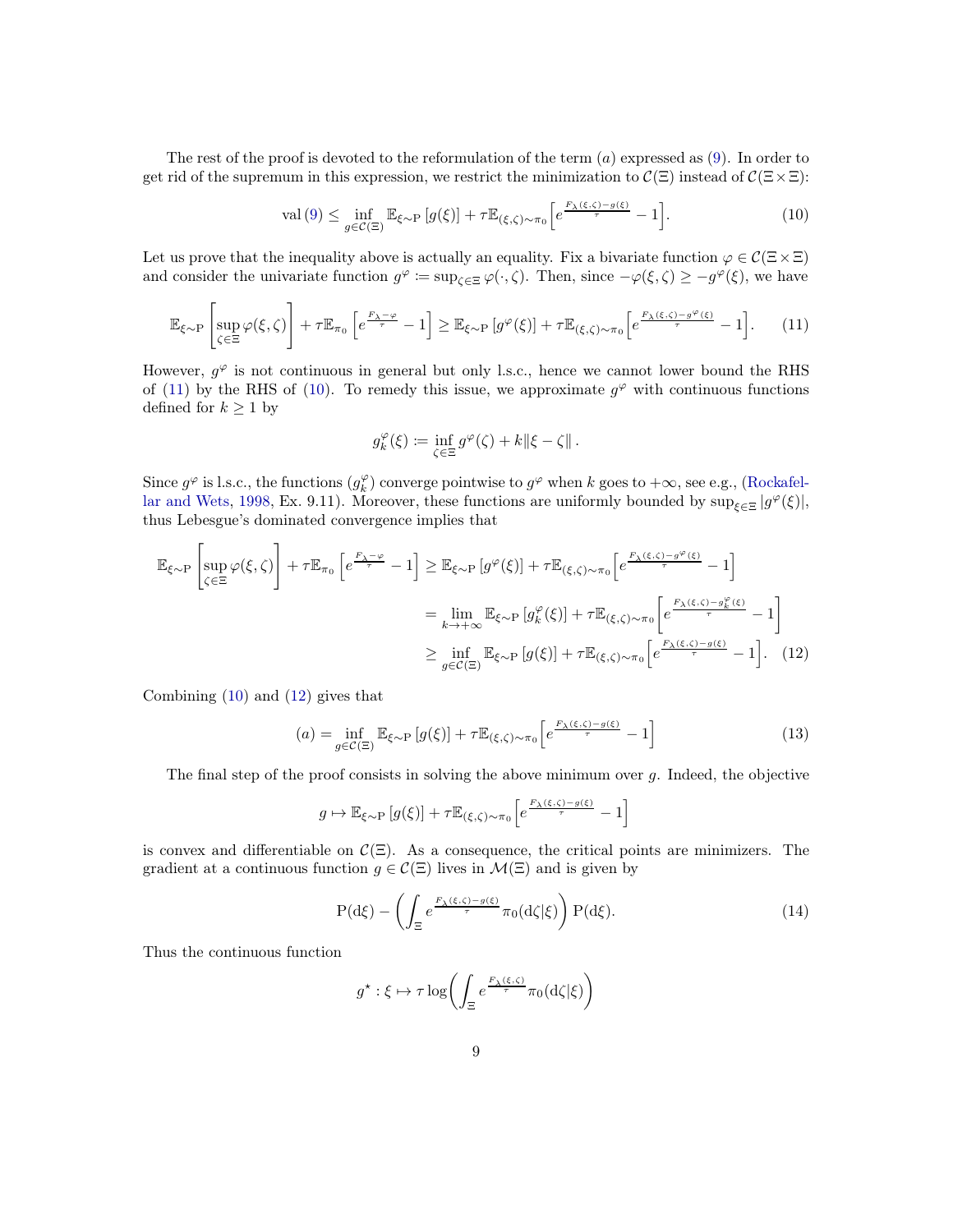The rest of the proof is devoted to the reformulation of the term  $(a)$  expressed as  $(9)$ . In order to get rid of the supremum in this expression, we restrict the minimization to  $\mathcal{C}(\Xi)$  instead of  $\mathcal{C}(\Xi\times\Xi)$ :

$$
\operatorname{val}\left(9\right) \le \inf_{g \in \mathcal{C}(\Xi)} \mathbb{E}_{\xi \sim \mathcal{P}}\left[g(\xi)\right] + \tau \mathbb{E}_{(\xi,\zeta) \sim \pi_0} \left[e^{\frac{F_\lambda(\xi,\zeta) - g(\xi)}{\tau}} - 1\right].\tag{10}
$$

Let us prove that the inequality above is actually an equality. Fix a bivariate function  $\varphi \in \mathcal{C}(\Xi \times \Xi)$ and consider the univariate function  $g^{\varphi} := \sup_{\zeta \in \Xi} \varphi(\cdot, \zeta)$ . Then, since  $-\varphi(\xi, \zeta) \geq -g^{\varphi}(\xi)$ , we have

$$
\mathbb{E}_{\xi \sim P} \left[ \sup_{\zeta \in \Xi} \varphi(\xi, \zeta) \right] + \tau \mathbb{E}_{\pi_0} \left[ e^{\frac{F_\lambda - \varphi}{\tau}} - 1 \right] \geq \mathbb{E}_{\xi \sim P} \left[ g^{\varphi}(\xi) \right] + \tau \mathbb{E}_{(\xi, \zeta) \sim \pi_0} \left[ e^{\frac{F_\lambda(\xi, \zeta) - g^{\varphi}(\xi)}{\tau}} - 1 \right]. \tag{11}
$$

However,  $g^{\varphi}$  is not continuous in general but only l.s.c., hence we cannot lower bound the RHS of [\(11\)](#page-8-0) by the RHS of [\(10\)](#page-8-1). To remedy this issue, we approximate  $g^{\varphi}$  with continuous functions defined for  $k \geq 1$  by

<span id="page-8-2"></span><span id="page-8-1"></span><span id="page-8-0"></span>
$$
g_k^{\varphi}(\xi) := \inf_{\zeta \in \Xi} g^{\varphi}(\zeta) + k \|\xi - \zeta\|.
$$

Since  $g^{\varphi}$  is l.s.c., the functions  $(g_k^{\varphi})$  converge pointwise to  $g^{\varphi}$  when k goes to  $+\infty$ , see e.g., (Rockafel-lar and Wets, [1998,](#page-16-13) Ex. 9.11). Moreover, these functions are uniformly bounded by  $\sup_{\xi \in \Xi} |g^{\varphi}(\xi)|$ , thus Lebesgue's dominated convergence implies that

$$
\mathbb{E}_{\xi \sim P} \left[ \sup_{\zeta \in \Xi} \varphi(\xi, \zeta) \right] + \tau \mathbb{E}_{\pi_0} \left[ e^{\frac{F_{\lambda} - \varphi}{\tau}} - 1 \right] \geq \mathbb{E}_{\xi \sim P} \left[ g^{\varphi}(\xi) \right] + \tau \mathbb{E}_{(\xi, \zeta) \sim \pi_0} \left[ e^{\frac{F_{\lambda}(\xi, \zeta) - g^{\varphi}(\xi)}{\tau}} - 1 \right]
$$
\n
$$
= \lim_{k \to +\infty} \mathbb{E}_{\xi \sim P} \left[ g^{\varphi}_{k}(\xi) \right] + \tau \mathbb{E}_{(\xi, \zeta) \sim \pi_0} \left[ e^{\frac{F_{\lambda}(\xi, \zeta) - g^{\varphi}(\xi)}{\tau}} - 1 \right]
$$
\n
$$
\geq \inf_{g \in \mathcal{C}(\Xi)} \mathbb{E}_{\xi \sim P} \left[ g(\xi) \right] + \tau \mathbb{E}_{(\xi, \zeta) \sim \pi_0} \left[ e^{\frac{F_{\lambda}(\xi, \zeta) - g(\xi)}{\tau}} - 1 \right]. \tag{12}
$$

Combining [\(10\)](#page-8-1) and [\(12\)](#page-8-2) gives that

$$
(a) = \inf_{g \in \mathcal{C}(\Xi)} \mathbb{E}_{\xi \sim \mathcal{P}} \left[ g(\xi) \right] + \tau \mathbb{E}_{(\xi, \zeta) \sim \pi_0} \left[ e^{\frac{F_\lambda(\xi, \zeta) - g(\xi)}{\tau}} - 1 \right]
$$
(13)

The final step of the proof consists in solving the above minimum over g. Indeed, the objective

<span id="page-8-3"></span>
$$
g \mapsto \mathbb{E}_{\xi \sim P} \left[ g(\xi) \right] + \tau \mathbb{E}_{(\xi, \zeta) \sim \pi_0} \left[ e^{\frac{F_{\lambda}(\xi, \zeta) - g(\xi)}{\tau}} - 1 \right]
$$

is convex and differentiable on  $\mathcal{C}(\Xi)$ . As a consequence, the critical points are minimizers. The gradient at a continuous function  $g \in \mathcal{C}(\Xi)$  lives in  $\mathcal{M}(\Xi)$  and is given by

$$
P(d\xi) - \left(\int_{\Xi} e^{\frac{F_{\lambda}(\xi,\zeta) - g(\xi)}{\tau}} \pi_0(d\zeta|\xi)\right) P(d\xi).
$$
 (14)

Thus the continuous function

<span id="page-8-4"></span>
$$
g^{\star} : \xi \mapsto \tau \log \left( \int_{\Xi} e^{\frac{F_{\lambda}(\xi,\zeta)}{\tau}} \pi_0(\mathrm{d}\zeta|\xi) \right)
$$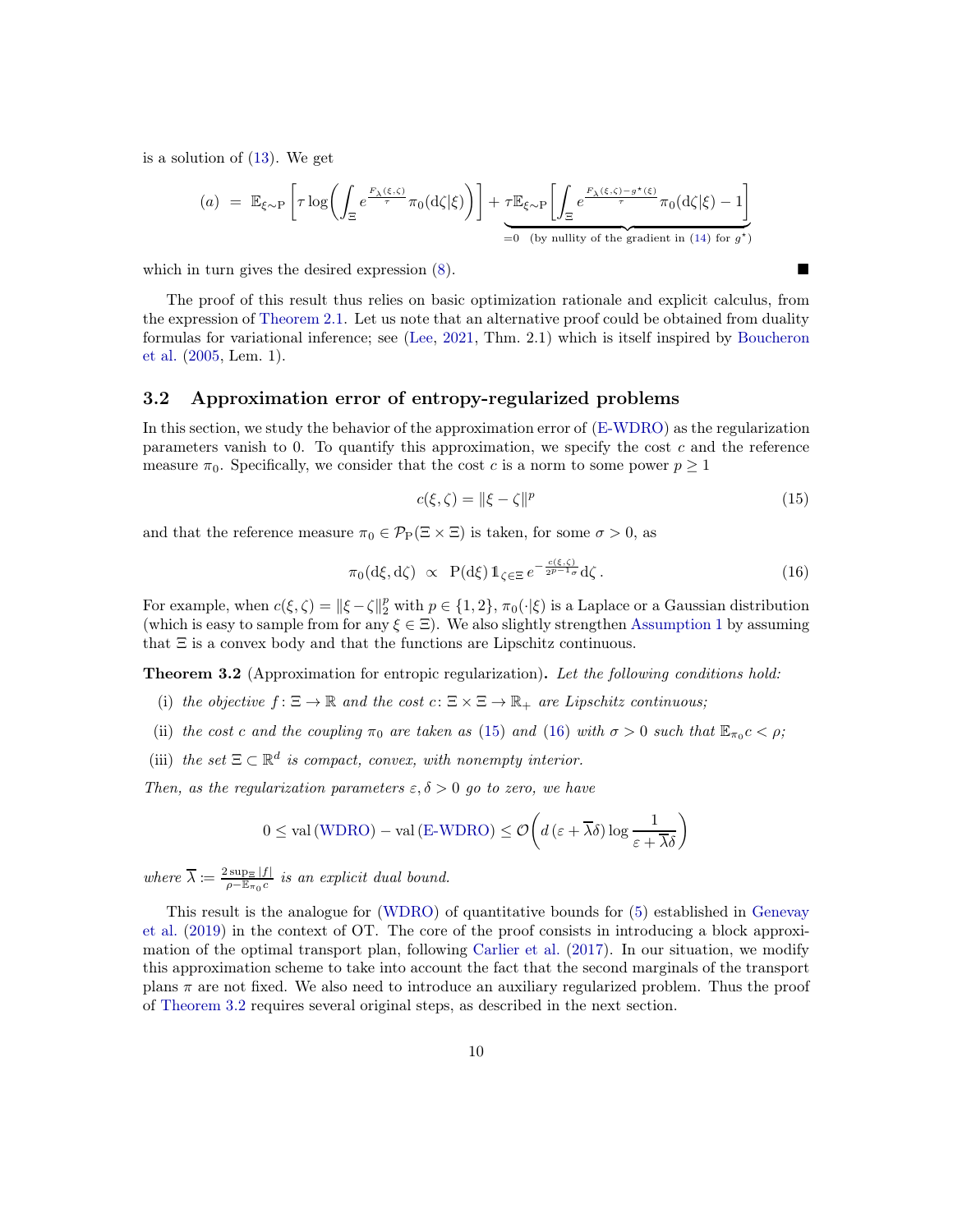is a solution of [\(13\)](#page-8-3). We get

$$
(a) = \mathbb{E}_{\xi \sim P} \left[ \tau \log \left( \int_{\Xi} e^{\frac{F_{\lambda}(\xi, \zeta)}{\tau}} \pi_0(d\zeta|\xi) \right) \right] + \underbrace{\tau \mathbb{E}_{\xi \sim P} \left[ \int_{\Xi} e^{\frac{F_{\lambda}(\xi, \zeta) - g^{\star}(\xi)}{\tau}} \pi_0(d\zeta|\xi) - 1 \right]}_{=0 \quad \text{(by nullity of the gradient in (14) for } g^{\star} \text{)}}
$$

which in turn gives the desired expression  $(8)$ .

The proof of this result thus relies on basic optimization rationale and explicit calculus, from the expression of [Theorem 2.1.](#page-4-0) Let us note that an alternative proof could be obtained from duality formulas for variational inference; see [\(Lee](#page-16-15), [2021](#page-16-15)[, Thm. 2.1\) which is itself inspired by](#page-15-9) Boucheron et al. [\(2005](#page-15-9), Lem. 1).

#### <span id="page-9-0"></span>3.2 Approximation error of entropy-regularized problems

In this section, we study the behavior of the approximation error of [\(E-WDRO\)](#page-6-3) as the regularization parameters vanish to 0. To quantify this approximation, we specify the cost  $c$  and the reference measure  $\pi_0$ . Specifically, we consider that the cost c is a norm to some power  $p \ge 1$ 

<span id="page-9-2"></span><span id="page-9-1"></span>
$$
c(\xi, \zeta) = \|\xi - \zeta\|^p \tag{15}
$$

and that the reference measure  $\pi_0 \in \mathcal{P}_P(\Xi \times \Xi)$  is taken, for some  $\sigma > 0$ , as

$$
\pi_0(\mathrm{d}\xi, \mathrm{d}\zeta) \; \propto \; \mathrm{P}(\mathrm{d}\xi) \, \mathbb{1}_{\zeta \in \Xi} \, e^{-\frac{c(\xi, \zeta)}{2^{p-1}\sigma} \mathrm{d}\zeta} \,. \tag{16}
$$

For example, when  $c(\xi, \zeta) = ||\xi - \zeta||_2^p$  with  $p \in \{1, 2\}, \pi_0(\cdot | \xi)$  is a Laplace or a Gaussian distribution (which is easy to sample from for any  $\xi \in \Xi$ ). We also slightly strengthen [Assumption 1](#page-4-1) by assuming that  $\Xi$  is a convex body and that the functions are Lipschitz continuous.

<span id="page-9-3"></span>Theorem 3.2 (Approximation for entropic regularization). Let the following conditions hold:

- (i) the objective  $f: \Xi \to \mathbb{R}$  and the cost  $c: \Xi \times \Xi \to \mathbb{R}_+$  are Lipschitz continuous;
- (ii) the cost c and the coupling  $\pi_0$  are taken as [\(15\)](#page-9-1) and [\(16\)](#page-9-2) with  $\sigma > 0$  such that  $\mathbb{E}_{\pi_0} c < \rho$ ;
- (iii) the set  $\Xi \subset \mathbb{R}^d$  is compact, convex, with nonempty interior.

Then, as the regularization parameters  $\varepsilon, \delta > 0$  go to zero, we have

$$
0 \leq \text{val}(\text{WDRO}) - \text{val}(\text{E-WDRO}) \leq \mathcal{O}\left(d\left(\varepsilon + \overline{\lambda}\delta\right)\log\frac{1}{\varepsilon + \overline{\lambda}\delta}\right)
$$

where  $\overline{\lambda} := \frac{2 \sup_{\Xi} |f|}{\rho - \mathbb{E}_{\pi_0} c}$  is an explicit dual bound.

T[his result is the analogue for](#page-16-6) [\(WDRO\)](#page-2-1) [of quantitative bounds for](#page-16-6) [\(5\)](#page-6-2) [established in](#page-16-6) Genevay et al. [\(2019\)](#page-16-6) in the context of OT. The core of the proof consists in introducing a block approximation of the optimal transport plan, following [Carlier et al.](#page-15-0) [\(2017\)](#page-15-0). In our situation, we modify this approximation scheme to take into account the fact that the second marginals of the transport plans  $\pi$  are not fixed. We also need to introduce an auxiliary regularized problem. Thus the proof of [Theorem 3.2](#page-9-3) requires several original steps, as described in the next section.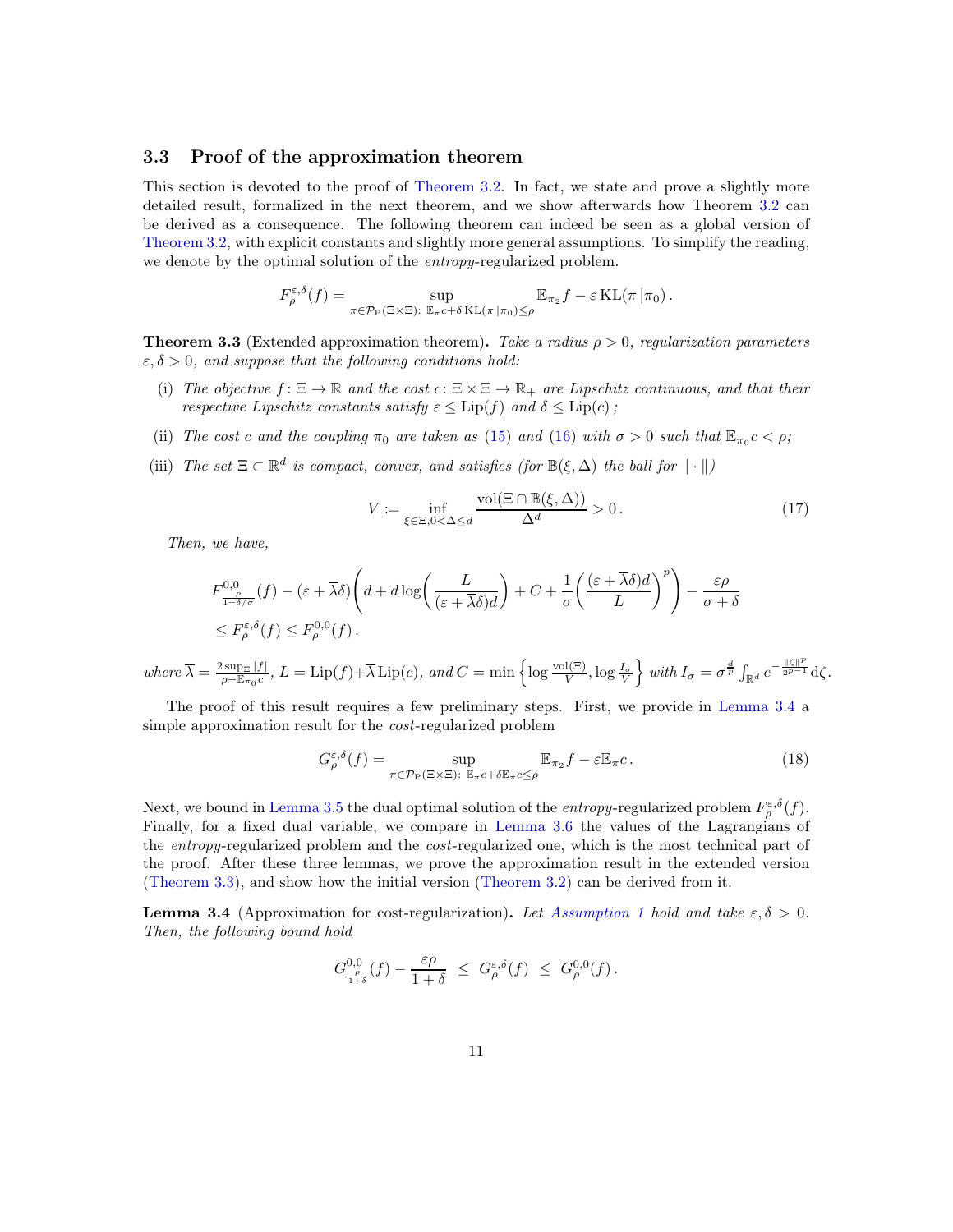#### 3.3 Proof of the approximation theorem

This section is devoted to the proof of [Theorem 3.2.](#page-9-3) In fact, we state and prove a slightly more detailed result, formalized in the next theorem, and we show afterwards how Theorem [3.2](#page-9-3) can be derived as a consequence. The following theorem can indeed be seen as a global version of [Theorem 3.2,](#page-9-3) with explicit constants and slightly more general assumptions. To simplify the reading, we denote by the optimal solution of the *entropy*-regularized problem.

$$
F_{\rho}^{\varepsilon,\delta}(f) = \sup_{\pi \in \mathcal{P}_{\mathrm{P}}(\Xi \times \Xi) : \ \mathbb{E}_{\pi}c + \delta \mathrm{KL}(\pi \mid \pi_0) \leq \rho} \mathbb{E}_{\pi_2}f - \varepsilon \mathrm{KL}(\pi \mid \pi_0).
$$

<span id="page-10-1"></span>**Theorem 3.3** (Extended approximation theorem). Take a radius  $\rho > 0$ , regularization parameters  $\varepsilon, \delta > 0$ , and suppose that the following conditions hold:

- (i) The objective  $f: \Xi \to \mathbb{R}$  and the cost  $c: \Xi \times \Xi \to \mathbb{R}_+$  are Lipschitz continuous, and that their respective Lipschitz constants satisfy  $\varepsilon \le \text{Lip}(f)$  and  $\delta \le \text{Lip}(c)$ ;
- (ii) The cost c and the coupling  $\pi_0$  are taken as [\(15\)](#page-9-1) and [\(16\)](#page-9-2) with  $\sigma > 0$  such that  $\mathbb{E}_{\pi_0} c < \rho$ ;
- (iii) The set  $\Xi \subset \mathbb{R}^d$  is compact, convex, and satisfies (for  $\mathbb{B}(\xi, \Delta)$  the ball for  $\|\cdot\|$ )

<span id="page-10-3"></span>
$$
V := \inf_{\xi \in \Xi, 0 < \Delta \le d} \frac{\text{vol}(\Xi \cap \mathbb{B}(\xi, \Delta))}{\Delta^d} > 0. \tag{17}
$$

Then, we have,

$$
F_{\frac{\rho}{1+\delta/\sigma}}^{0,0}(f) - (\varepsilon + \overline{\lambda}\delta) \left( d + d \log \left( \frac{L}{(\varepsilon + \overline{\lambda}\delta)d} \right) + C + \frac{1}{\sigma} \left( \frac{(\varepsilon + \overline{\lambda}\delta)d}{L} \right)^p \right) - \frac{\varepsilon \rho}{\sigma + \delta}
$$
  
\$\leq F\_{\rho}^{\varepsilon,\delta}(f) \leq F\_{\rho}^{0,0}(f)\$.

where  $\overline{\lambda} = \frac{2 \sup_{\Xi} |f|}{\rho - \mathbb{E}_{\pi_0} c}$ ,  $L = \text{Lip}(f) + \overline{\lambda} \text{Lip}(c)$ , and  $C = \min \left\{ \log \frac{\text{vol}(\Xi)}{V}, \log \frac{I_{\sigma}}{V} \right\}$  with  $I_{\sigma} = \sigma^{\frac{d}{p}} \int_{\mathbb{R}^d} e^{-\frac{\|\zeta\|^p}{2p-1}} d\zeta$ .

The proof of this result requires a few preliminary steps. First, we provide in [Lemma 3.4](#page-10-0) a simple approximation result for the cost-regularized problem

<span id="page-10-2"></span>
$$
G_{\rho}^{\varepsilon,\delta}(f) = \sup_{\pi \in \mathcal{P}_{\mathcal{P}}(\Xi \times \Xi) : \ \mathbb{E}_{\pi}c + \delta \mathbb{E}_{\pi}c \le \rho} \mathbb{E}_{\pi_2}f - \varepsilon \mathbb{E}_{\pi}c. \tag{18}
$$

Next, we bound in [Lemma 3.5](#page-11-0) the dual optimal solution of the *entropy*-regularized problem  $F^{\varepsilon,\delta}_{\rho}(f)$ . Finally, for a fixed dual variable, we compare in [Lemma 3.6](#page-11-1) the values of the Lagrangians of the *entropy*-regularized problem and the *cost*-regularized one, which is the most technical part of the proof. After these three lemmas, we prove the approximation result in the extended version [\(Theorem 3.3\)](#page-10-1), and show how the initial version [\(Theorem 3.2\)](#page-9-3) can be derived from it.

<span id="page-10-0"></span>**Lemma 3.4** (Approximation for cost-regularization). Let [Assumption 1](#page-4-1) hold and take  $\varepsilon, \delta > 0$ . Then, the following bound hold

$$
G^{0,0}_{\frac{\rho}{1+\delta}}(f) - \frac{\varepsilon \rho}{1+\delta} \leq G^{\varepsilon,\delta}_{\rho}(f) \leq G^{0,0}_{\rho}(f).
$$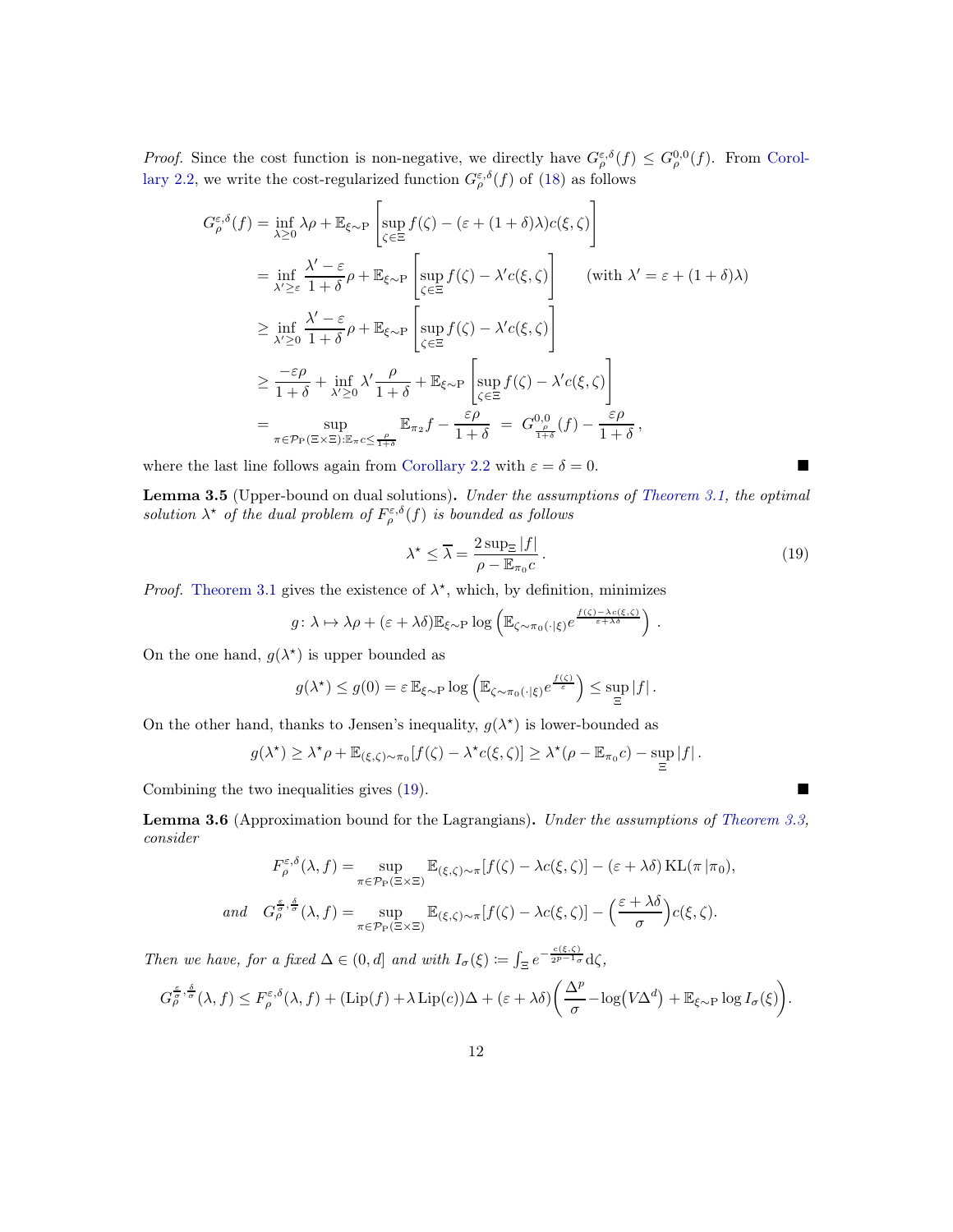*Proof.* Since the cost function is non-negative, we directly have  $G_{\rho}^{\varepsilon,\delta}(f) \leq G_{\rho}^{0,0}(f)$ . From Corollary 2.2, we write the cost-regularized function  $G^{\varepsilon,\delta}_{\rho}(f)$  of [\(18\)](#page-10-2) as follows

$$
G_{\rho}^{\varepsilon,\delta}(f) = \inf_{\lambda \geq 0} \lambda \rho + \mathbb{E}_{\xi \sim P} \left[ \sup_{\zeta \in \Xi} f(\zeta) - (\varepsilon + (1 + \delta)\lambda)c(\xi, \zeta) \right]
$$
  
\n
$$
= \inf_{\lambda' \geq \varepsilon} \frac{\lambda' - \varepsilon}{1 + \delta} \rho + \mathbb{E}_{\xi \sim P} \left[ \sup_{\zeta \in \Xi} f(\zeta) - \lambda' c(\xi, \zeta) \right] \quad (\text{with } \lambda' = \varepsilon + (1 + \delta)\lambda)
$$
  
\n
$$
\geq \inf_{\lambda' \geq 0} \frac{\lambda' - \varepsilon}{1 + \delta} \rho + \mathbb{E}_{\xi \sim P} \left[ \sup_{\zeta \in \Xi} f(\zeta) - \lambda' c(\xi, \zeta) \right]
$$
  
\n
$$
\geq \frac{-\varepsilon \rho}{1 + \delta} + \inf_{\lambda' \geq 0} \lambda' \frac{\rho}{1 + \delta} + \mathbb{E}_{\xi \sim P} \left[ \sup_{\zeta \in \Xi} f(\zeta) - \lambda' c(\xi, \zeta) \right]
$$
  
\n
$$
= \sup_{\pi \in \mathcal{P}_{P}(\Xi \times \Xi): \mathbb{E}_{\pi} c \leq \frac{\rho}{1 + \delta}} \mathbb{E}_{\pi_{2}} f - \frac{\varepsilon \rho}{1 + \delta} = G_{\frac{1}{1 + \delta}}^{0,0}(f) - \frac{\varepsilon \rho}{1 + \delta},
$$

<span id="page-11-0"></span>where the last line follows again from [Corollary 2.2](#page-5-0) with  $\varepsilon = \delta = 0$ .

Lemma 3.5 (Upper-bound on dual solutions). Under the assumptions of [Theorem 3.1,](#page-7-4) the optimal solution  $\lambda^*$  of the dual problem of  $F^{\varepsilon,\delta}_{\rho}(f)$  is bounded as follows

<span id="page-11-2"></span>
$$
\lambda^* \le \overline{\lambda} = \frac{2 \sup_{\Xi} |f|}{\rho - \mathbb{E}_{\pi_0 c}}.
$$
\n(19)

*Proof.* [Theorem 3.1](#page-7-4) gives the existence of  $\lambda^*$ , which, by definition, minimizes

$$
g\colon \lambda \mapsto \lambda \rho + (\varepsilon + \lambda \delta) \mathbb{E}_{\xi \sim \mathrm{P}} \log \left( \mathbb{E}_{\zeta \sim \pi_0(\cdot|\xi)} e^{\frac{f(\zeta) - \lambda c(\xi, \zeta)}{\varepsilon + \lambda \delta}} \right).
$$

On the one hand,  $g(\lambda^*)$  is upper bounded as

$$
g(\lambda^*) \le g(0) = \varepsilon \mathbb{E}_{\xi \sim \mathcal{P}} \log \left( \mathbb{E}_{\zeta \sim \pi_0(\cdot|\xi)} e^{\frac{f(\zeta)}{\varepsilon}} \right) \le \sup_{\Xi} |f|.
$$

On the other hand, thanks to Jensen's inequality,  $g(\lambda^*)$  is lower-bounded as

$$
g(\lambda^*) \geq \lambda^* \rho + \mathbb{E}_{(\xi,\zeta)\sim\pi_0}[f(\zeta)-\lambda^* c(\xi,\zeta)] \geq \lambda^*(\rho-\mathbb{E}_{\pi_0}c)-\sup_{\Xi}|f|.
$$

<span id="page-11-1"></span>Combining the two inequalities gives [\(19\)](#page-11-2).

Lemma 3.6 (Approximation bound for the Lagrangians). Under the assumptions of [Theorem 3.3,](#page-10-1) consider

$$
F_{\rho}^{\varepsilon,\delta}(\lambda,f) = \sup_{\pi \in \mathcal{P}_{P}(\Xi \times \Xi)} \mathbb{E}_{(\xi,\zeta)\sim\pi}[f(\zeta) - \lambda c(\xi,\zeta)] - (\varepsilon + \lambda \delta) \operatorname{KL}(\pi|\pi_{0}),
$$
  
and 
$$
G_{\rho}^{\frac{\varepsilon}{\sigma},\frac{\delta}{\sigma}}(\lambda,f) = \sup_{\pi \in \mathcal{P}_{P}(\Xi \times \Xi)} \mathbb{E}_{(\xi,\zeta)\sim\pi}[f(\zeta) - \lambda c(\xi,\zeta)] - (\frac{\varepsilon + \lambda \delta}{\sigma}) c(\xi,\zeta).
$$

Then we have, for a fixed  $\Delta \in (0, d]$  and with  $I_{\sigma}(\xi) := \int_{\Xi} e^{-\frac{c(\xi, \zeta)}{2^{p-1}\sigma}} d\zeta$ ,

$$
G_{\rho}^{\frac{\varepsilon}{\sigma},\frac{\delta}{\sigma}}(\lambda,f) \leq F_{\rho}^{\varepsilon,\delta}(\lambda,f) + (\mathrm{Lip}(f) + \lambda \mathrm{Lip}(c))\Delta + (\varepsilon + \lambda \delta) \left(\frac{\Delta^p}{\sigma} - \log(V\Delta^d) + \mathbb{E}_{\xi \sim \mathrm{P}} \log I_{\sigma}(\xi)\right).
$$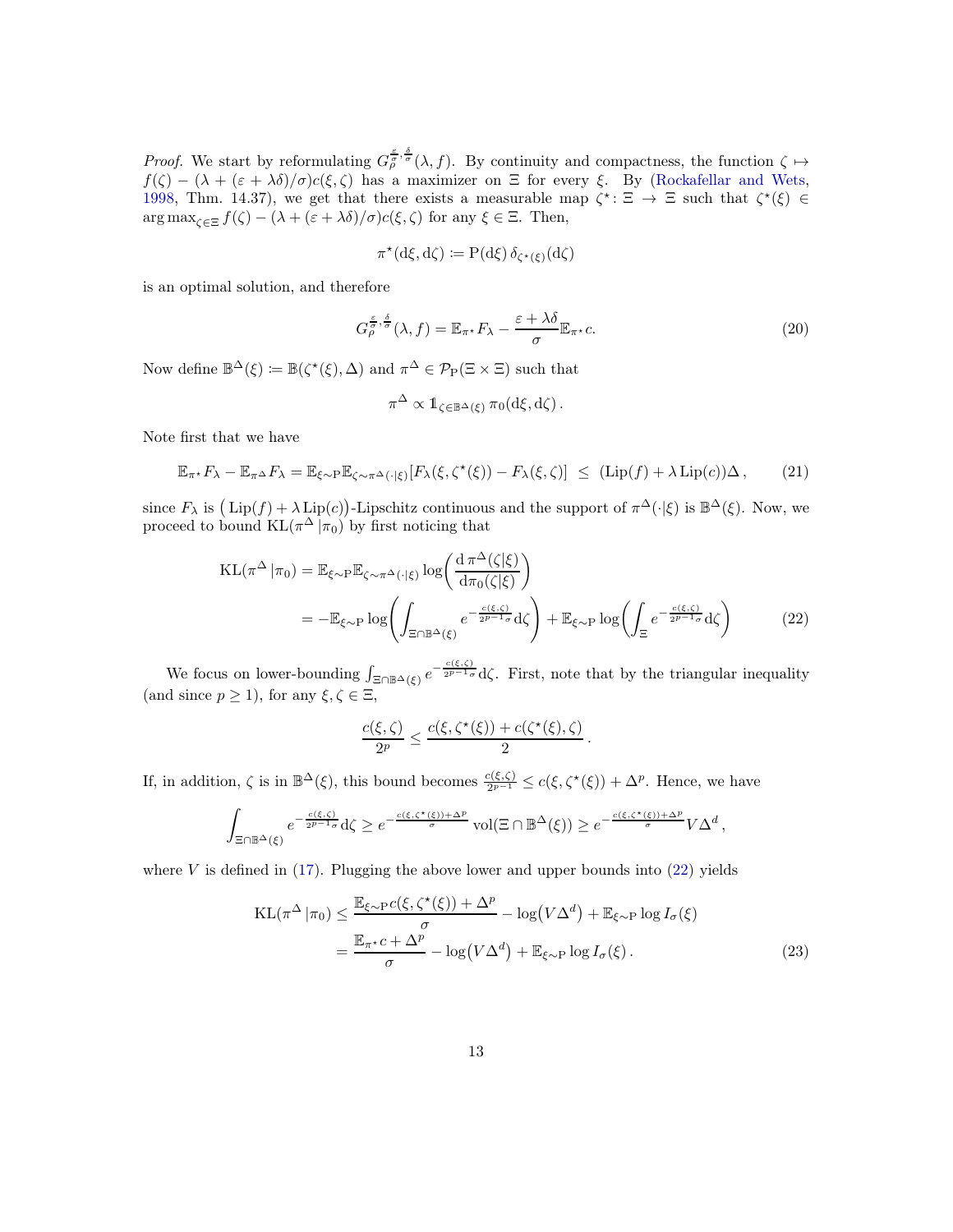*Proof.* We start by reformulating  $G_{\rho}^{\frac{\varepsilon}{\sigma},\frac{\delta}{\sigma}}(\lambda,f)$ . By continuity and compactness, the function  $\zeta \mapsto$  $f(\zeta) - (\lambda + (\varepsilon + \lambda \delta)/\sigma)c(\xi, \zeta)$  has a maximizer on  $\Xi$  for every  $\xi$ . By [\(Rockafellar and Wets](#page-16-13), [1998,](#page-16-13) Thm. 14.37), we get that there exists a measurable map  $\zeta^* : \Xi \to \Xi$  such that  $\zeta^*(\xi) \in$  $\arg \max_{\zeta \in \Xi} f(\zeta) - (\lambda + (\varepsilon + \lambda \delta)/\sigma)c(\xi, \zeta)$  for any  $\xi \in \Xi$ . Then,

$$
\pi^{\star}(\mathrm{d}\xi,\mathrm{d}\zeta)\coloneqq P(\mathrm{d}\xi)\,\delta_{\zeta^{\star}(\xi)}(\mathrm{d}\zeta)
$$

is an optimal solution, and therefore

$$
G_{\rho}^{\frac{\varepsilon}{\sigma},\frac{\delta}{\sigma}}(\lambda,f) = \mathbb{E}_{\pi^*}F_{\lambda} - \frac{\varepsilon + \lambda\delta}{\sigma}\mathbb{E}_{\pi^*}c.
$$
 (20)

Now define  $\mathbb{B}^{\Delta}(\xi) \coloneqq \mathbb{B}(\zeta^*(\xi), \Delta)$  and  $\pi^{\Delta} \in \mathcal{P}_{P}(\Xi \times \Xi)$  such that

<span id="page-12-2"></span><span id="page-12-1"></span>
$$
\pi^{\Delta} \propto 1\!\!1_{\zeta \in \mathbb{B}^{\Delta}(\xi)} \pi_0(\mathrm{d}\xi, \mathrm{d}\zeta).
$$

Note first that we have

$$
\mathbb{E}_{\pi^*} F_{\lambda} - \mathbb{E}_{\pi^{\Delta}} F_{\lambda} = \mathbb{E}_{\xi \sim P} \mathbb{E}_{\zeta \sim \pi^{\Delta}(\cdot|\xi)} [F_{\lambda}(\xi, \zeta^*(\xi)) - F_{\lambda}(\xi, \zeta)] \leq (\text{Lip}(f) + \lambda \text{Lip}(c)) \Delta,
$$
 (21)

since  $F_{\lambda}$  is  $(\text{Lip}(f) + \lambda \text{Lip}(c))$ -Lipschitz continuous and the support of  $\pi^{\Delta}(\cdot|\xi)$  is  $\mathbb{B}^{\Delta}(\xi)$ . Now, we proceed to bound  $KL(\pi^{\Delta}|\pi_0)$  by first noticing that

$$
KL(\pi^{\Delta} | \pi_0) = \mathbb{E}_{\xi \sim P} \mathbb{E}_{\zeta \sim \pi^{\Delta}(\cdot | \xi)} \log \left( \frac{d \pi^{\Delta}(\zeta | \xi)}{d \pi_0(\zeta | \xi)} \right)
$$
  
= 
$$
- \mathbb{E}_{\xi \sim P} \log \left( \int_{\Xi \cap \mathbb{B}^{\Delta}(\xi)} e^{-\frac{c(\xi, \zeta)}{2^{p-1} \sigma}} d\zeta \right) + \mathbb{E}_{\xi \sim P} \log \left( \int_{\Xi} e^{-\frac{c(\xi, \zeta)}{2^{p-1} \sigma}} d\zeta \right)
$$
(22)

We focus on lower-bounding  $\int_{\Xi \cap \mathbb{B}^{\Delta}(\xi)} e^{-\frac{c(\xi,\zeta)}{2^{p-1}\sigma}} d\zeta$ . First, note that by the triangular inequality (and since  $p \geq 1$ ), for any  $\xi, \zeta \in \Xi$ ,

<span id="page-12-3"></span><span id="page-12-0"></span>
$$
\frac{c(\xi,\zeta)}{2^p} \le \frac{c(\xi,\zeta^\star(\xi)) + c(\zeta^\star(\xi),\zeta)}{2}.
$$

If, in addition,  $\zeta$  is in  $\mathbb{B}^{\Delta}(\xi)$ , this bound becomes  $\frac{c(\xi,\zeta)}{2^{p-1}} \leq c(\xi,\zeta^{\star}(\xi)) + \Delta^p$ . Hence, we have

$$
\int_{\Xi\cap\mathbb{B}^\Delta(\xi)} e^{-\frac{c(\xi,\zeta)}{2^{p-1}\sigma}}\mathrm{d}\zeta \geq e^{-\frac{c(\xi,\zeta^\star(\xi))+\Delta^p}{\sigma}}\,\mathrm{vol}(\Xi\cap\mathbb{B}^\Delta(\xi)) \geq e^{-\frac{c(\xi,\zeta^\star(\xi))+\Delta^p}{\sigma}}V\Delta^d\,,
$$

where  $V$  is defined in  $(17)$ . Plugging the above lower and upper bounds into  $(22)$  yields

$$
\mathrm{KL}(\pi^{\Delta} \mid \pi_{0}) \leq \frac{\mathbb{E}_{\xi \sim \mathrm{P}} c(\xi, \zeta^{*}(\xi)) + \Delta^{p}}{\sigma} - \log(V\Delta^{d}) + \mathbb{E}_{\xi \sim \mathrm{P}} \log I_{\sigma}(\xi)
$$

$$
= \frac{\mathbb{E}_{\pi^{*}c} + \Delta^{p}}{\sigma} - \log(V\Delta^{d}) + \mathbb{E}_{\xi \sim \mathrm{P}} \log I_{\sigma}(\xi). \tag{23}
$$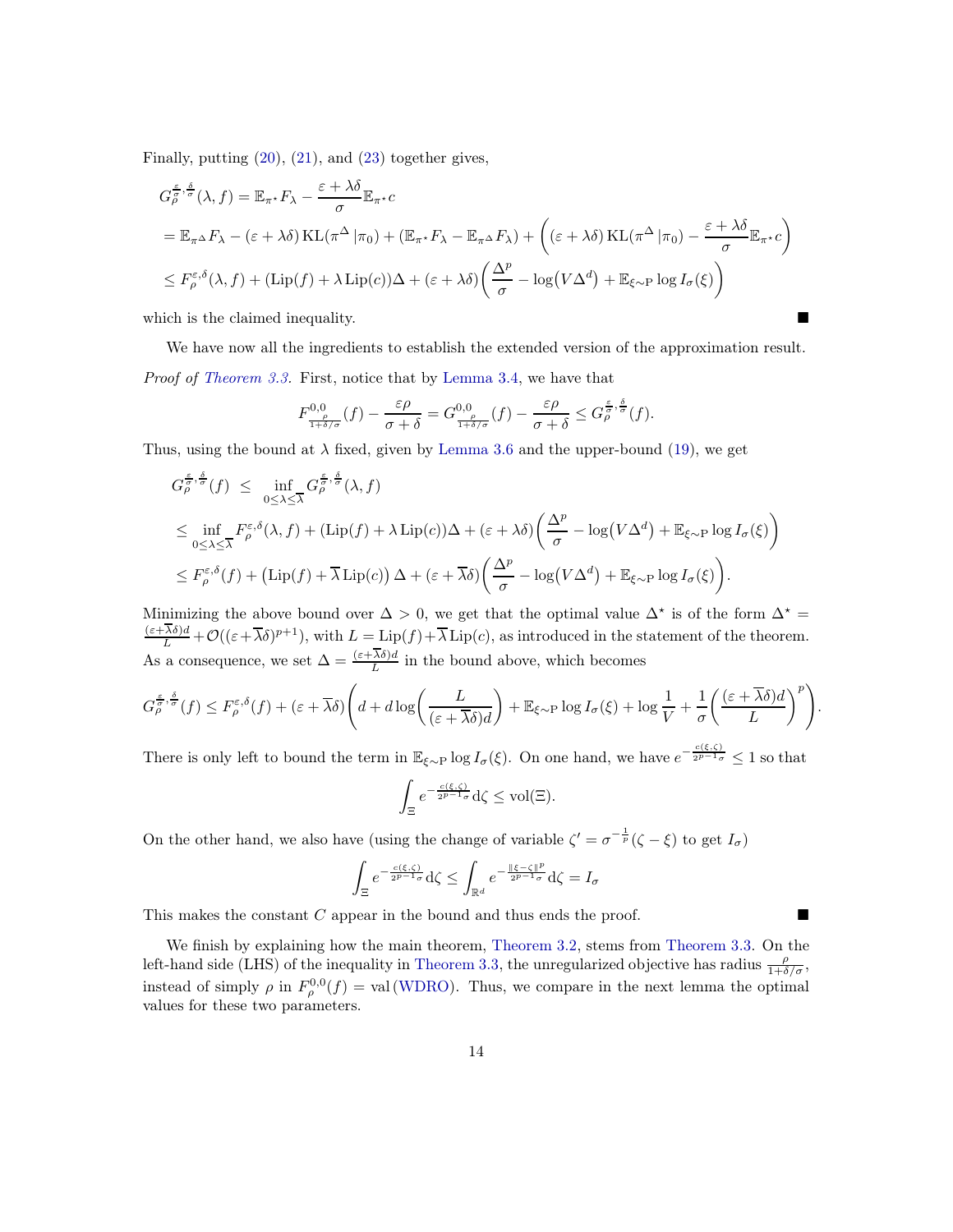Finally, putting  $(20)$ ,  $(21)$ , and  $(23)$  together gives,

$$
G_{\beta}^{\frac{\varepsilon}{\sigma},\frac{\delta}{\sigma}}(\lambda,f) = \mathbb{E}_{\pi^*}F_{\lambda} - \frac{\varepsilon + \lambda\delta}{\sigma}\mathbb{E}_{\pi^*}c
$$
  
=  $\mathbb{E}_{\pi^{\Delta}}F_{\lambda} - (\varepsilon + \lambda\delta) \text{KL}(\pi^{\Delta}|\pi_0) + (\mathbb{E}_{\pi^*}F_{\lambda} - \mathbb{E}_{\pi^{\Delta}}F_{\lambda}) + ((\varepsilon + \lambda\delta) \text{KL}(\pi^{\Delta}|\pi_0) - \frac{\varepsilon + \lambda\delta}{\sigma}\mathbb{E}_{\pi^*}c)$   

$$
\leq F_{\rho}^{\varepsilon,\delta}(\lambda,f) + (\text{Lip}(f) + \lambda \text{Lip}(c))\Delta + (\varepsilon + \lambda\delta)\left(\frac{\Delta^p}{\sigma} - \log(V\Delta^d) + \mathbb{E}_{\xi\sim\mathcal{P}}\log I_{\sigma}(\xi)\right)
$$

which is the claimed inequality.

We have now all the ingredients to establish the extended version of the approximation result. Proof of [Theorem 3.3.](#page-10-1) First, notice that by [Lemma 3.4,](#page-10-0) we have that

$$
F_{\frac{\rho}{1+\delta/\sigma}}^{0,0}(f) - \frac{\varepsilon\rho}{\sigma+\delta} = G_{\frac{\rho}{1+\delta/\sigma}}^{0,0}(f) - \frac{\varepsilon\rho}{\sigma+\delta} \leq G_{\rho}^{\frac{\varepsilon}{\sigma},\frac{\delta}{\sigma}}(f).
$$

Thus, using the bound at  $\lambda$  fixed, given by [Lemma 3.6](#page-11-1) and the upper-bound [\(19\)](#page-11-2), we get

$$
G_{\rho}^{\frac{\varepsilon}{\sigma},\frac{\delta}{\sigma}}(f) \leq \inf_{0 \leq \lambda \leq \overline{\lambda}} G_{\rho}^{\frac{\varepsilon}{\sigma},\frac{\delta}{\sigma}}(\lambda,f)
$$
  
\n
$$
\leq \inf_{0 \leq \lambda \leq \overline{\lambda}} F_{\rho}^{\varepsilon,\delta}(\lambda,f) + (\text{Lip}(f) + \lambda \text{Lip}(c))\Delta + (\varepsilon + \lambda \delta) \left( \frac{\Delta^p}{\sigma} - \log(V\Delta^d) + \mathbb{E}_{\xi \sim \mathcal{P}} \log I_{\sigma}(\xi) \right)
$$
  
\n
$$
\leq F_{\rho}^{\varepsilon,\delta}(f) + (\text{Lip}(f) + \overline{\lambda} \text{Lip}(c)) \Delta + (\varepsilon + \overline{\lambda}\delta) \left( \frac{\Delta^p}{\sigma} - \log(V\Delta^d) + \mathbb{E}_{\xi \sim \mathcal{P}} \log I_{\sigma}(\xi) \right).
$$

Minimizing the above bound over  $\Delta > 0$ , we get that the optimal value  $\Delta^*$  is of the form  $\Delta^* =$  $\frac{(\varepsilon+\lambda\delta)d}{L}+\mathcal{O}((\varepsilon+\overline{\lambda}\delta)^{p+1}),$  with  $L=\text{Lip}(f)+\overline{\lambda}\text{Lip}(c)$ , as introduced in the statement of the theorem. As a consequence, we set  $\Delta = \frac{(\varepsilon + \lambda \delta)d}{L}$  in the bound above, which becomes

$$
G_{\rho}^{\frac{\varepsilon}{\sigma},\frac{\delta}{\sigma}}(f) \leq F_{\rho}^{\varepsilon,\delta}(f) + (\varepsilon + \overline{\lambda}\delta) \Bigg(d + d\log\bigg(\frac{L}{(\varepsilon + \overline{\lambda}\delta)d}\bigg) + \mathbb{E}_{\xi \sim \mathcal{P}} \log I_{\sigma}(\xi) + \log \frac{1}{V} + \frac{1}{\sigma} \bigg(\frac{(\varepsilon + \overline{\lambda}\delta)d}{L}\bigg)^p\Bigg).
$$

There is only left to bound the term in  $\mathbb{E}_{\xi \sim P} \log I_{\sigma}(\xi)$ . On one hand, we have  $e^{-\frac{c(\xi,\zeta)}{2^{p-1}\sigma}} \leq 1$  so that

$$
\int_{\Xi} e^{-\frac{c(\xi,\zeta)}{2^{p-1}\sigma}} d\zeta \le \text{vol}(\Xi).
$$

On the other hand, we also have (using the change of variable  $\zeta' = \sigma^{-\frac{1}{p}}(\zeta - \xi)$  to get  $I_{\sigma}$ )

$$
\int_{\Xi} e^{-\frac{c(\xi,\zeta)}{2^{p-1}\sigma}}\mathrm{d}\zeta \leq \int_{\mathbb{R}^d} e^{-\frac{\|\xi-\zeta\|^p}{2^{p-1}\sigma}}\mathrm{d}\zeta = I_{\sigma}
$$

This makes the constant  $C$  appear in the bound and thus ends the proof.

<span id="page-13-0"></span>We finish by explaining how the main theorem, [Theorem 3.2,](#page-9-3) stems from [Theorem 3.3.](#page-10-1) On the left-hand side (LHS) of the inequality in [Theorem 3.3,](#page-10-1) the unregularized objective has radius  $\frac{\rho}{1+\delta/\sigma}$ , instead of simply  $\rho$  in  $F_{\rho}^{0,0}(f) = \text{val}(\text{WDRO})$ . Thus, we compare in the next lemma the optimal values for these two parameters.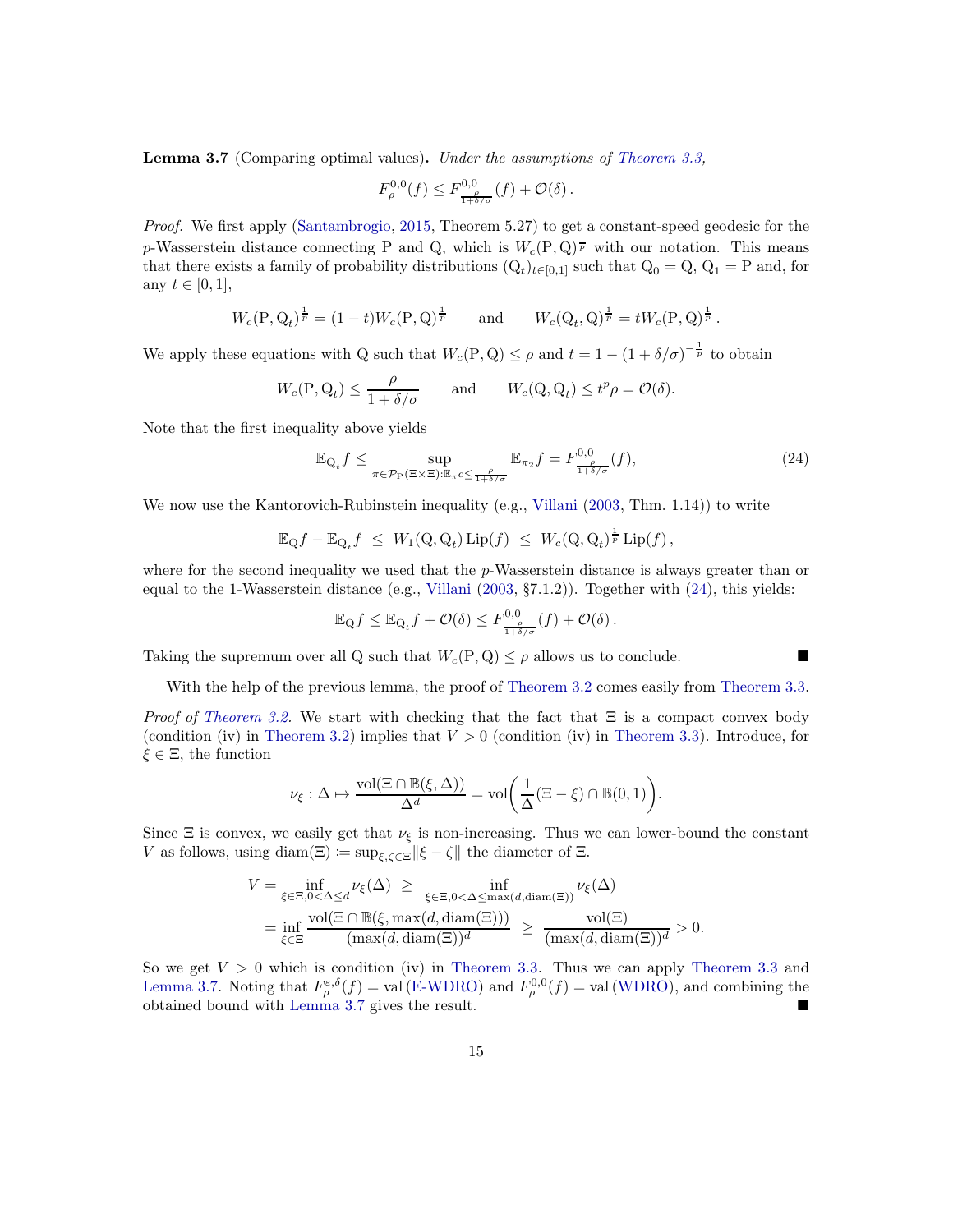Lemma 3.7 (Comparing optimal values). Under the assumptions of [Theorem 3.3,](#page-10-1)

$$
F_{\rho}^{0,0}(f) \leq F_{\frac{\rho}{1+\delta/\sigma}}^{0,0}(f) + \mathcal{O}(\delta).
$$

Proof. We first apply [\(Santambrogio](#page-16-0), [2015,](#page-16-0) Theorem 5.27) to get a constant-speed geodesic for the p-Wasserstein distance connecting P and Q, which is  $W_c(P,Q)^{\frac{1}{p}}$  with our notation. This means that there exists a family of probability distributions  $(Q_t)_{t\in[0,1]}$  such that  $Q_0 = Q, Q_1 = P$  and, for any  $t \in [0, 1]$ ,

$$
W_c(P, Q_t)^{\frac{1}{p}} = (1-t)W_c(P, Q)^{\frac{1}{p}} \quad \text{and} \quad W_c(Q_t, Q)^{\frac{1}{p}} = tW_c(P, Q)^{\frac{1}{p}}.
$$

We apply these equations with Q such that  $W_c(P,Q) \leq \rho$  and  $t = 1 - (1 + \delta/\sigma)^{-\frac{1}{p}}$  to obtain

$$
W_c(P, Q_t) \le \frac{\rho}{1 + \delta/\sigma}
$$
 and  $W_c(Q, Q_t) \le t^p \rho = \mathcal{O}(\delta).$ 

Note that the first inequality above yields

<span id="page-14-0"></span>
$$
\mathbb{E}_{Q_t} f \le \sup_{\pi \in \mathcal{P}_P(\Xi \times \Xi) : \mathbb{E}_{\pi} c \le \frac{\rho}{1 + \delta/\sigma}} \mathbb{E}_{\pi_2} f = F^{0,0}_{\frac{\rho}{1 + \delta/\sigma}}(f),\tag{24}
$$

We now use the Kantorovich-Rubinstein inequality (e.g., [Villani](#page-17-0) [\(2003,](#page-17-0) Thm. 1.14)) to write

$$
\mathbb{E}_{Q}f - \mathbb{E}_{Q_t}f \leq W_1(Q,Q_t)\mathrm{Lip}(f) \leq W_c(Q,Q_t)^{\frac{1}{p}}\mathrm{Lip}(f),
$$

where for the second inequality we used that the p-Wasserstein distance is always greater than or equal to the 1-Wasserstein distance (e.g., [Villani](#page-17-0) [\(2003](#page-17-0),  $\S7.1.2$ )). Together with [\(24\)](#page-14-0), this yields:

$$
\mathbb{E}_{Q}f \leq \mathbb{E}_{Q_t}f + \mathcal{O}(\delta) \leq F_{\frac{P}{1+\delta/\sigma}}^{0,0}(f) + \mathcal{O}(\delta).
$$

Taking the supremum over all Q such that  $W_c(P,Q) \leq \rho$  allows us to conclude.

With the help of the previous lemma, the proof of [Theorem 3.2](#page-9-3) comes easily from [Theorem 3.3.](#page-10-1)

*Proof of [Theorem 3.2.](#page-9-3)* We start with checking that the fact that  $\Xi$  is a compact convex body (condition (iv) in [Theorem 3.2\)](#page-9-3) implies that  $V > 0$  (condition (iv) in [Theorem 3.3\)](#page-10-1). Introduce, for  $\xi \in \Xi$ , the function

$$
\nu_{\xi} : \Delta \mapsto \frac{\mathrm{vol}(\Xi \cap \mathbb{B}(\xi,\Delta))}{\Delta^d} = \mathrm{vol}\bigg(\frac{1}{\Delta}(\Xi - \xi) \cap \mathbb{B}(0,1)\bigg).
$$

Since  $\Xi$  is convex, we easily get that  $\nu_{\xi}$  is non-increasing. Thus we can lower-bound the constant V as follows, using diam( $\Xi$ ) := sup<sub> $\xi, \zeta \in \Xi$ </sub>  $\|\xi - \zeta\|$  the diameter of  $\Xi$ .

$$
V = \inf_{\xi \in \Xi, 0 < \Delta \le d} \nu_{\xi}(\Delta) \ge \inf_{\xi \in \Xi, 0 < \Delta \le \max(d, \text{diam}(\Xi))} \nu_{\xi}(\Delta)
$$
  
= 
$$
\inf_{\xi \in \Xi} \frac{\text{vol}(\Xi \cap \mathbb{B}(\xi, \max(d, \text{diam}(\Xi)))}{(\max(d, \text{diam}(\Xi)))^d} \ge \frac{\text{vol}(\Xi)}{(\max(d, \text{diam}(\Xi)))^d} > 0.
$$

So we get  $V > 0$  which is condition (iv) in [Theorem 3.3.](#page-10-1) Thus we can apply [Theorem 3.3](#page-10-1) and [Lemma 3.7.](#page-13-0) Noting that  $F_{\rho}^{\varepsilon,\delta}(f) = \text{val}(\text{E-WDRO})$  and  $F_{\rho}^{0,0}(f) = \text{val}(\text{WDRO})$ , and combining the obtained bound with [Lemma 3.7](#page-13-0) gives the result.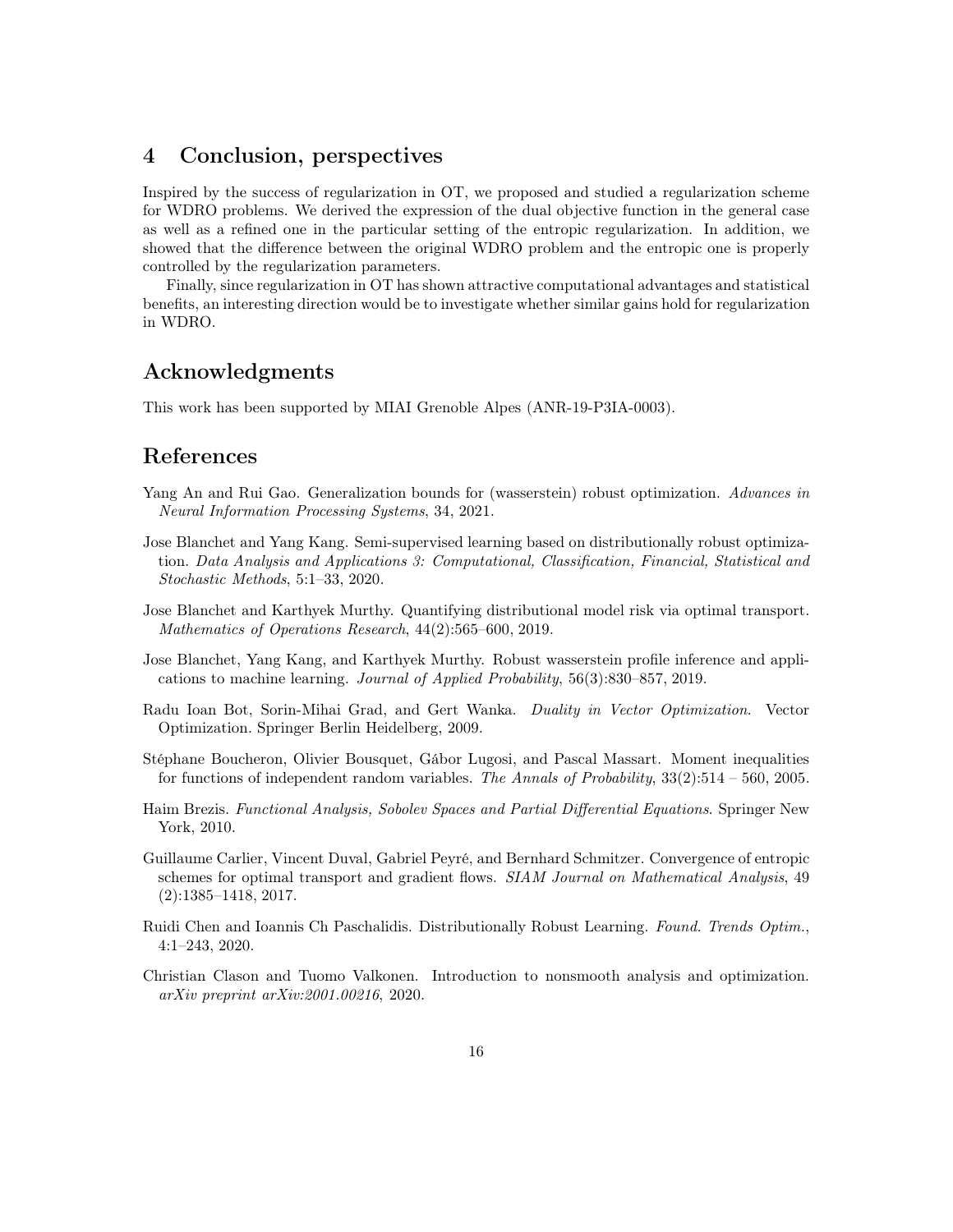# 4 Conclusion, perspectives

Inspired by the success of regularization in OT, we proposed and studied a regularization scheme for WDRO problems. We derived the expression of the dual objective function in the general case as well as a refined one in the particular setting of the entropic regularization. In addition, we showed that the difference between the original WDRO problem and the entropic one is properly controlled by the regularization parameters.

Finally, since regularization in OT has shown attractive computational advantages and statistical benefits, an interesting direction would be to investigate whether similar gains hold for regularization in WDRO.

# Acknowledgments

This work has been supported by MIAI Grenoble Alpes (ANR-19-P3IA-0003).

# References

- <span id="page-15-2"></span>Yang An and Rui Gao. Generalization bounds for (wasserstein) robust optimization. Advances in Neural Information Processing Systems, 34, 2021.
- <span id="page-15-3"></span>Jose Blanchet and Yang Kang. Semi-supervised learning based on distributionally robust optimization. Data Analysis and Applications 3: Computational, Classification, Financial, Statistical and Stochastic Methods, 5:1–33, 2020.
- <span id="page-15-7"></span>Jose Blanchet and Karthyek Murthy. Quantifying distributional model risk via optimal transport. Mathematics of Operations Research, 44(2):565–600, 2019.
- <span id="page-15-4"></span>Jose Blanchet, Yang Kang, and Karthyek Murthy. Robust wasserstein profile inference and applications to machine learning. Journal of Applied Probability, 56(3):830–857, 2019.
- <span id="page-15-6"></span>Radu Ioan Bot, Sorin-Mihai Grad, and Gert Wanka. Duality in Vector Optimization. Vector Optimization. Springer Berlin Heidelberg, 2009.
- <span id="page-15-9"></span>Stéphane Boucheron, Olivier Bousquet, Gábor Lugosi, and Pascal Massart. Moment inequalities for functions of independent random variables. The Annals of Probability,  $33(2):514 - 560$ , 2005.
- <span id="page-15-8"></span>Haim Brezis. Functional Analysis, Sobolev Spaces and Partial Differential Equations. Springer New York, 2010.
- <span id="page-15-0"></span>Guillaume Carlier, Vincent Duval, Gabriel Peyré, and Bernhard Schmitzer. Convergence of entropic schemes for optimal transport and gradient flows. *SIAM Journal on Mathematical Analysis*, 49 (2):1385–1418, 2017.
- <span id="page-15-1"></span>Ruidi Chen and Ioannis Ch Paschalidis. Distributionally Robust Learning. Found. Trends Optim., 4:1–243, 2020.
- <span id="page-15-5"></span>Christian Clason and Tuomo Valkonen. Introduction to nonsmooth analysis and optimization. arXiv preprint arXiv:2001.00216, 2020.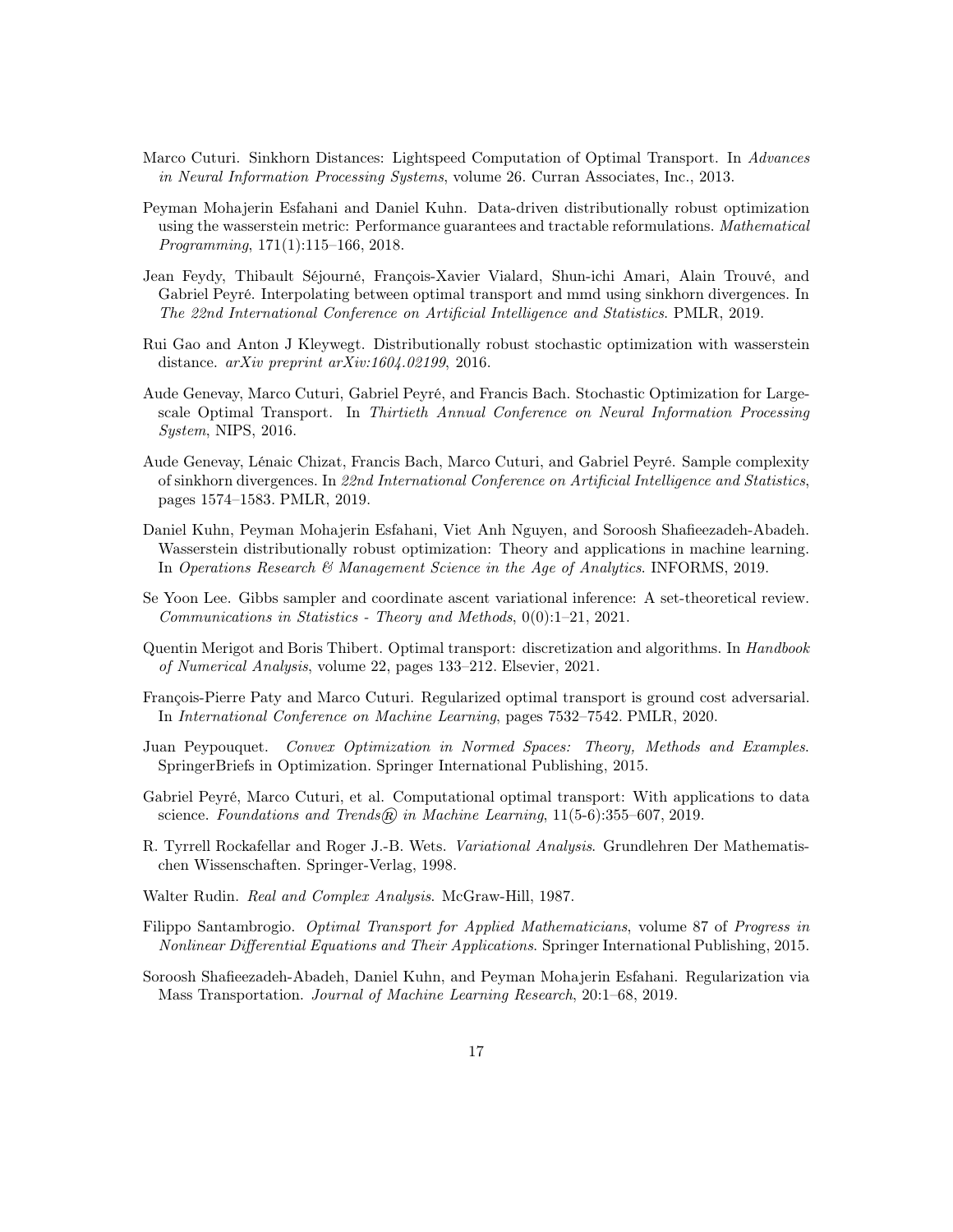- <span id="page-16-3"></span>Marco Cuturi. Sinkhorn Distances: Lightspeed Computation of Optimal Transport. In Advances in Neural Information Processing Systems, volume 26. Curran Associates, Inc., 2013.
- <span id="page-16-8"></span>Peyman Mohajerin Esfahani and Daniel Kuhn. Data-driven distributionally robust optimization using the wasserstein metric: Performance guarantees and tractable reformulations. *Mathematical* Programming, 171(1):115–166, 2018.
- <span id="page-16-14"></span>Jean Feydy, Thibault Séjourné, François-Xavier Vialard, Shun-ichi Amari, Alain Trouvé, and Gabriel Peyré. Interpolating between optimal transport and mmd using sinkhorn divergences. In The 22nd International Conference on Artificial Intelligence and Statistics. PMLR, 2019.
- <span id="page-16-11"></span>Rui Gao and Anton J Kleywegt. Distributionally robust stochastic optimization with wasserstein distance. arXiv preprint arXiv:1604.02199, 2016.
- <span id="page-16-5"></span>Aude Genevay, Marco Cuturi, Gabriel Peyré, and Francis Bach. Stochastic Optimization for Largescale Optimal Transport. In Thirtieth Annual Conference on Neural Information Processing System, NIPS, 2016.
- <span id="page-16-6"></span>Aude Genevay, Lénaic Chizat, Francis Bach, Marco Cuturi, and Gabriel Peyré. Sample complexity of sinkhorn divergences. In 22nd International Conference on Artificial Intelligence and Statistics, pages 1574–1583. PMLR, 2019.
- <span id="page-16-4"></span>Daniel Kuhn, Peyman Mohajerin Esfahani, Viet Anh Nguyen, and Soroosh Shafieezadeh-Abadeh. Wasserstein distributionally robust optimization: Theory and applications in machine learning. In Operations Research & Management Science in the Age of Analytics. INFORMS, 2019.
- <span id="page-16-15"></span>Se Yoon Lee. Gibbs sampler and coordinate ascent variational inference: A set-theoretical review. Communications in Statistics - Theory and Methods, 0(0):1–21, 2021.
- <span id="page-16-2"></span>Quentin Merigot and Boris Thibert. Optimal transport: discretization and algorithms. In Handbook of Numerical Analysis, volume 22, pages 133–212. Elsevier, 2021.
- <span id="page-16-7"></span>François-Pierre Paty and Marco Cuturi. Regularized optimal transport is ground cost adversarial. In International Conference on Machine Learning, pages 7532–7542. PMLR, 2020.
- <span id="page-16-12"></span>Juan Peypouquet. Convex Optimization in Normed Spaces: Theory, Methods and Examples. SpringerBriefs in Optimization. Springer International Publishing, 2015.
- <span id="page-16-1"></span>Gabriel Peyré, Marco Cuturi, et al. Computational optimal transport: With applications to data science. Foundations and Trends $\mathcal{R}$  in Machine Learning, 11(5-6):355–607, 2019.
- <span id="page-16-13"></span>R. Tyrrell Rockafellar and Roger J.-B. Wets. Variational Analysis. Grundlehren Der Mathematischen Wissenschaften. Springer-Verlag, 1998.
- <span id="page-16-10"></span>Walter Rudin. Real and Complex Analysis. McGraw-Hill, 1987.
- <span id="page-16-0"></span>Filippo Santambrogio. Optimal Transport for Applied Mathematicians, volume 87 of Progress in Nonlinear Differential Equations and Their Applications. Springer International Publishing, 2015.
- <span id="page-16-9"></span>Soroosh Shafieezadeh-Abadeh, Daniel Kuhn, and Peyman Mohajerin Esfahani. Regularization via Mass Transportation. Journal of Machine Learning Research, 20:1–68, 2019.